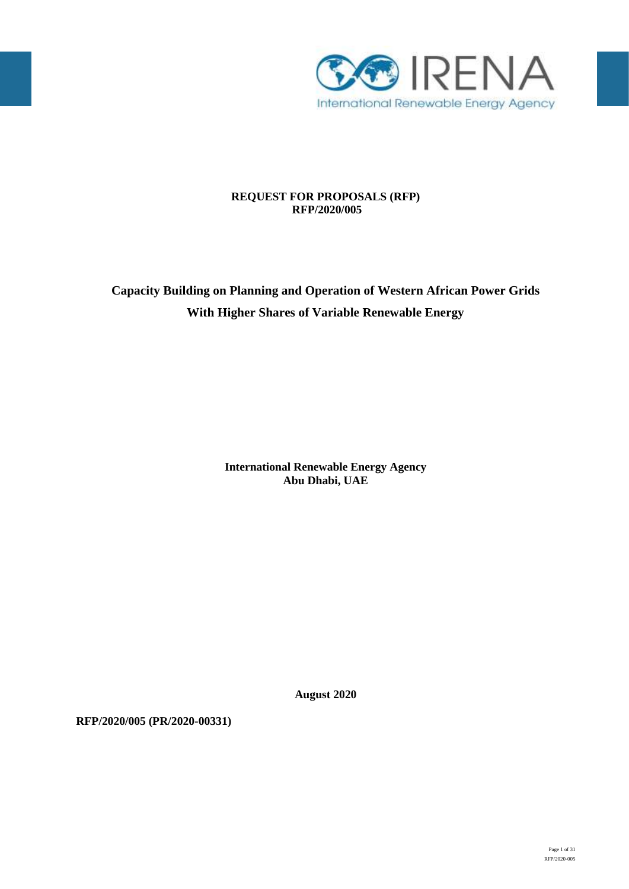

# **REQUEST FOR PROPOSALS (RFP) RFP/2020/005**

# **Capacity Building on Planning and Operation of Western African Power Grids With Higher Shares of Variable Renewable Energy**

**International Renewable Energy Agency Abu Dhabi, UAE**

**August 2020**

**RFP/2020/005 (PR/2020-00331)**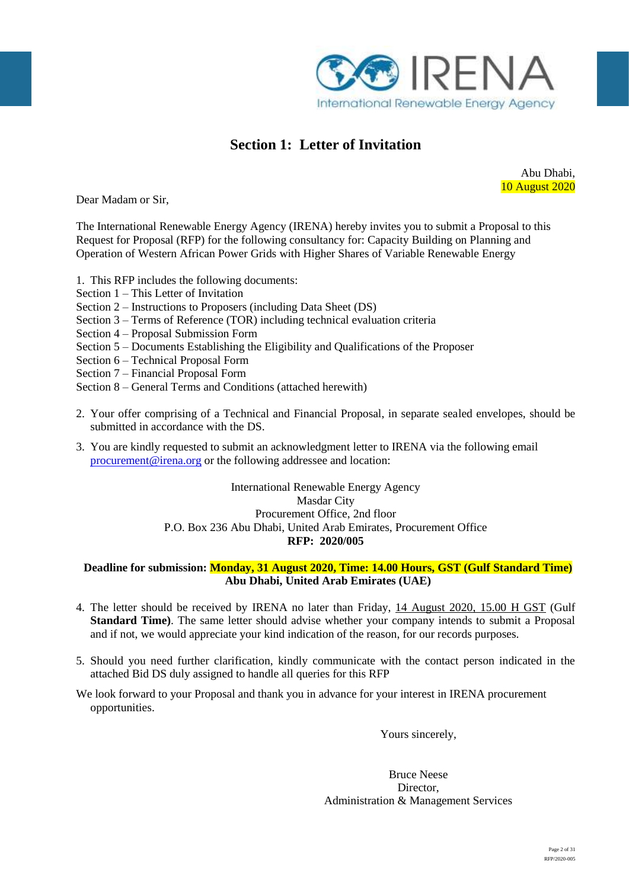

# **Section 1: Letter of Invitation**

Abu Dhabi, 10 August 2020

Dear Madam or Sir,

The International Renewable Energy Agency (IRENA) hereby invites you to submit a Proposal to this Request for Proposal (RFP) for the following consultancy for: Capacity Building on Planning and Operation of Western African Power Grids with Higher Shares of Variable Renewable Energy

1. This RFP includes the following documents:

- Section 1 This Letter of Invitation
- Section 2 Instructions to Proposers (including Data Sheet (DS)
- Section 3 Terms of Reference (TOR) including technical evaluation criteria
- Section 4 Proposal Submission Form
- Section 5 Documents Establishing the Eligibility and Qualifications of the Proposer
- Section 6 Technical Proposal Form
- Section 7 Financial Proposal Form
- Section 8 General Terms and Conditions (attached herewith)
- 2. Your offer comprising of a Technical and Financial Proposal, in separate sealed envelopes, should be submitted in accordance with the DS.
- 3. You are kindly requested to submit an acknowledgment letter to IRENA via the following email [procurement@irena.org](mailto:procurement@irena.org) or the following addressee and location:

## International Renewable Energy Agency Masdar City Procurement Office, 2nd floor P.O. Box 236 Abu Dhabi, United Arab Emirates, Procurement Office **RFP: 2020/005**

### **Deadline for submission: Monday, 31 August 2020, Time: 14.00 Hours, GST (Gulf Standard Time) Abu Dhabi, United Arab Emirates (UAE)**

- 4. The letter should be received by IRENA no later than Friday, 14 August 2020, 15.00 H GST (Gulf **Standard Time)**. The same letter should advise whether your company intends to submit a Proposal and if not, we would appreciate your kind indication of the reason, for our records purposes.
- 5. Should you need further clarification, kindly communicate with the contact person indicated in the attached Bid DS duly assigned to handle all queries for this RFP
- We look forward to your Proposal and thank you in advance for your interest in IRENA procurement opportunities.

Yours sincerely,

Bruce Neese Director, Administration & Management Services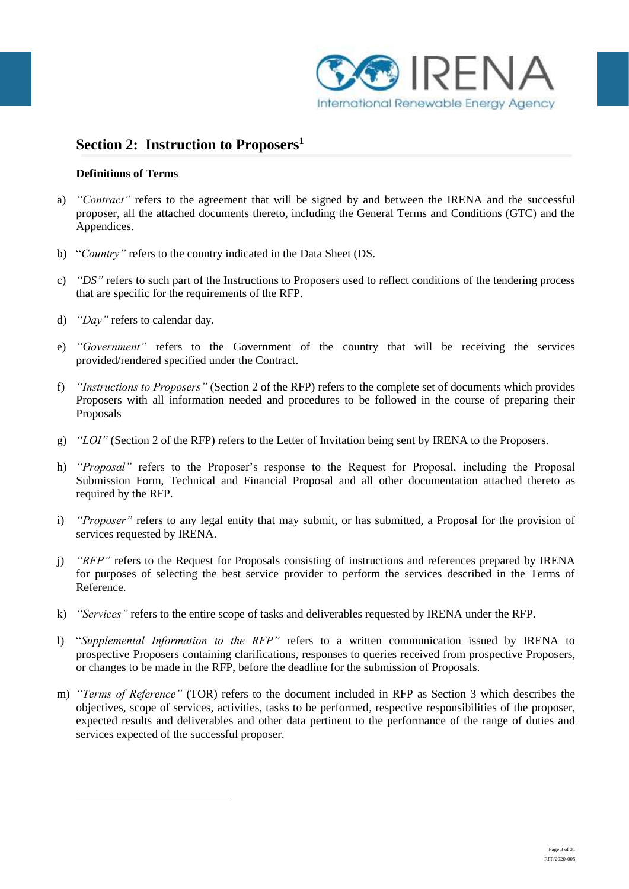

# **Section 2: Instruction to Proposers<sup>1</sup>**

### **Definitions of Terms**

- a) *"Contract"* refers to the agreement that will be signed by and between the IRENA and the successful proposer, all the attached documents thereto, including the General Terms and Conditions (GTC) and the Appendices.
- b) "*Country"* refers to the country indicated in the Data Sheet (DS.
- c) *"DS"* refers to such part of the Instructions to Proposers used to reflect conditions of the tendering process that are specific for the requirements of the RFP.
- d) *"Day"* refers to calendar day.

<u>.</u>

- e) *"Government"* refers to the Government of the country that will be receiving the services provided/rendered specified under the Contract.
- f) *"Instructions to Proposers"* (Section 2 of the RFP) refers to the complete set of documents which provides Proposers with all information needed and procedures to be followed in the course of preparing their Proposals
- g) *"LOI"* (Section 2 of the RFP) refers to the Letter of Invitation being sent by IRENA to the Proposers.
- h) *"Proposal"* refers to the Proposer's response to the Request for Proposal, including the Proposal Submission Form, Technical and Financial Proposal and all other documentation attached thereto as required by the RFP.
- i) *"Proposer"* refers to any legal entity that may submit, or has submitted, a Proposal for the provision of services requested by IRENA.
- j) *"RFP"* refers to the Request for Proposals consisting of instructions and references prepared by IRENA for purposes of selecting the best service provider to perform the services described in the Terms of Reference.
- k) *"Services"* refers to the entire scope of tasks and deliverables requested by IRENA under the RFP.
- l) "*Supplemental Information to the RFP"* refers to a written communication issued by IRENA to prospective Proposers containing clarifications, responses to queries received from prospective Proposers, or changes to be made in the RFP, before the deadline for the submission of Proposals.
- m) *"Terms of Reference"* (TOR) refers to the document included in RFP as Section 3 which describes the objectives, scope of services, activities, tasks to be performed, respective responsibilities of the proposer, expected results and deliverables and other data pertinent to the performance of the range of duties and services expected of the successful proposer.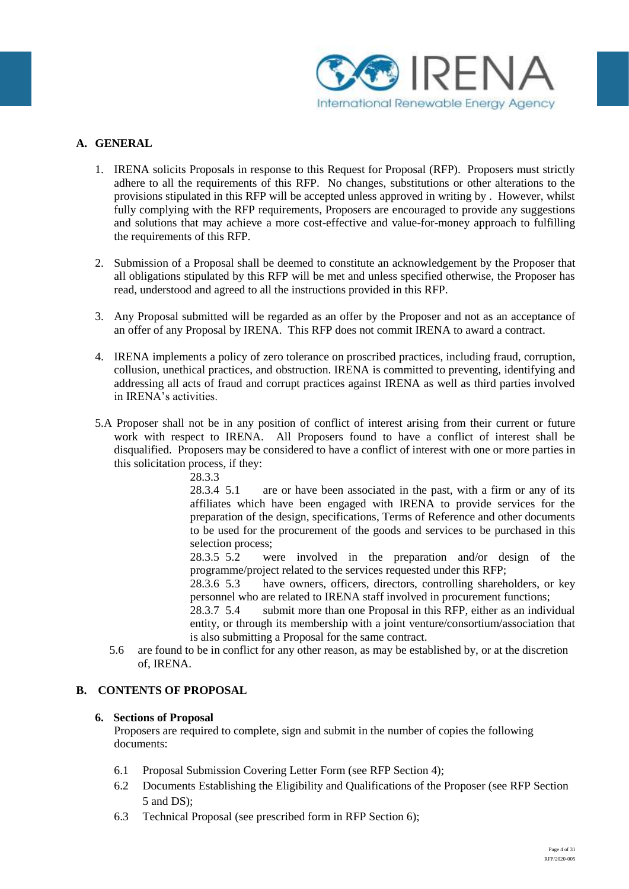

# **A. GENERAL**

- 1. IRENA solicits Proposals in response to this Request for Proposal (RFP). Proposers must strictly adhere to all the requirements of this RFP. No changes, substitutions or other alterations to the provisions stipulated in this RFP will be accepted unless approved in writing by . However, whilst fully complying with the RFP requirements, Proposers are encouraged to provide any suggestions and solutions that may achieve a more cost-effective and value-for-money approach to fulfilling the requirements of this RFP.
- 2. Submission of a Proposal shall be deemed to constitute an acknowledgement by the Proposer that all obligations stipulated by this RFP will be met and unless specified otherwise, the Proposer has read, understood and agreed to all the instructions provided in this RFP.
- 3. Any Proposal submitted will be regarded as an offer by the Proposer and not as an acceptance of an offer of any Proposal by IRENA. This RFP does not commit IRENA to award a contract.
- 4. IRENA implements a policy of zero tolerance on proscribed practices, including fraud, corruption, collusion, unethical practices, and obstruction. IRENA is committed to preventing, identifying and addressing all acts of fraud and corrupt practices against IRENA as well as third parties involved in IRENA's activities.
- 5.A Proposer shall not be in any position of conflict of interest arising from their current or future work with respect to IRENA. All Proposers found to have a conflict of interest shall be disqualified. Proposers may be considered to have a conflict of interest with one or more parties in this solicitation process, if they:

# 28.3.3

28.3.4 5.1 are or have been associated in the past, with a firm or any of its affiliates which have been engaged with IRENA to provide services for the preparation of the design, specifications, Terms of Reference and other documents to be used for the procurement of the goods and services to be purchased in this selection process;

28.3.5 5.2 were involved in the preparation and/or design of the programme/project related to the services requested under this RFP;

28.3.6 5.3 have owners, officers, directors, controlling shareholders, or key personnel who are related to IRENA staff involved in procurement functions;

28.3.7 5.4 submit more than one Proposal in this RFP, either as an individual entity, or through its membership with a joint venture/consortium/association that is also submitting a Proposal for the same contract.

5.6 are found to be in conflict for any other reason, as may be established by, or at the discretion of, IRENA.

### **B. CONTENTS OF PROPOSAL**

#### **6. Sections of Proposal**

Proposers are required to complete, sign and submit in the number of copies the following documents:

- 6.1 Proposal Submission Covering Letter Form (see RFP Section 4);
- 6.2 Documents Establishing the Eligibility and Qualifications of the Proposer (see RFP Section 5 and DS);
- 6.3 Technical Proposal (see prescribed form in RFP Section 6);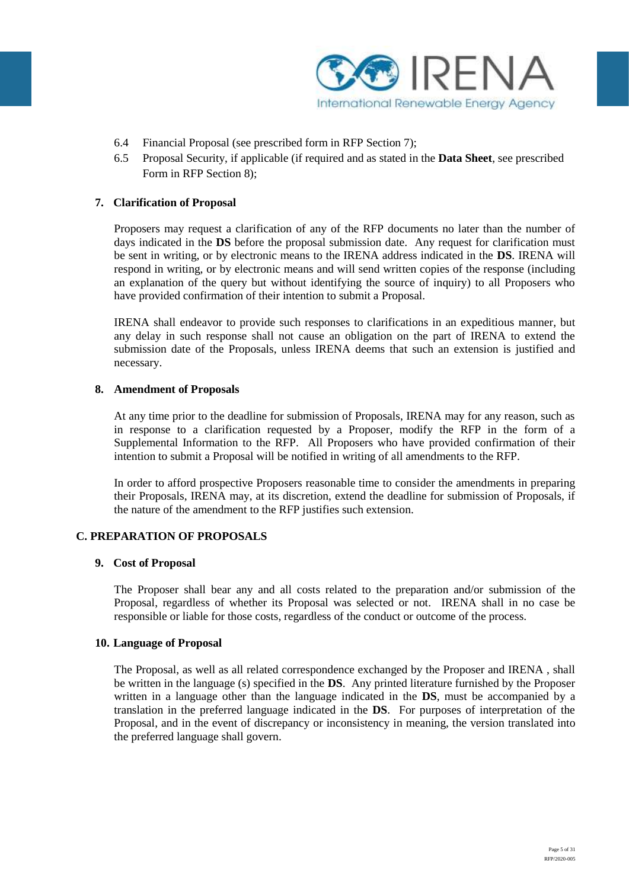

- 6.4 Financial Proposal (see prescribed form in RFP Section 7);
- 6.5 Proposal Security, if applicable (if required and as stated in the **Data Sheet**, see prescribed Form in RFP Section 8);

### **7. Clarification of Proposal**

Proposers may request a clarification of any of the RFP documents no later than the number of days indicated in the **DS** before the proposal submission date. Any request for clarification must be sent in writing, or by electronic means to the IRENA address indicated in the **DS**. IRENA will respond in writing, or by electronic means and will send written copies of the response (including an explanation of the query but without identifying the source of inquiry) to all Proposers who have provided confirmation of their intention to submit a Proposal.

IRENA shall endeavor to provide such responses to clarifications in an expeditious manner, but any delay in such response shall not cause an obligation on the part of IRENA to extend the submission date of the Proposals, unless IRENA deems that such an extension is justified and necessary.

### **8. Amendment of Proposals**

At any time prior to the deadline for submission of Proposals, IRENA may for any reason, such as in response to a clarification requested by a Proposer, modify the RFP in the form of a Supplemental Information to the RFP. All Proposers who have provided confirmation of their intention to submit a Proposal will be notified in writing of all amendments to the RFP.

In order to afford prospective Proposers reasonable time to consider the amendments in preparing their Proposals, IRENA may, at its discretion, extend the deadline for submission of Proposals, if the nature of the amendment to the RFP justifies such extension.

### **C. PREPARATION OF PROPOSALS**

#### **9. Cost of Proposal**

The Proposer shall bear any and all costs related to the preparation and/or submission of the Proposal, regardless of whether its Proposal was selected or not. IRENA shall in no case be responsible or liable for those costs, regardless of the conduct or outcome of the process.

### **10. Language of Proposal**

The Proposal, as well as all related correspondence exchanged by the Proposer and IRENA , shall be written in the language (s) specified in the **DS**. Any printed literature furnished by the Proposer written in a language other than the language indicated in the **DS**, must be accompanied by a translation in the preferred language indicated in the **DS**. For purposes of interpretation of the Proposal, and in the event of discrepancy or inconsistency in meaning, the version translated into the preferred language shall govern.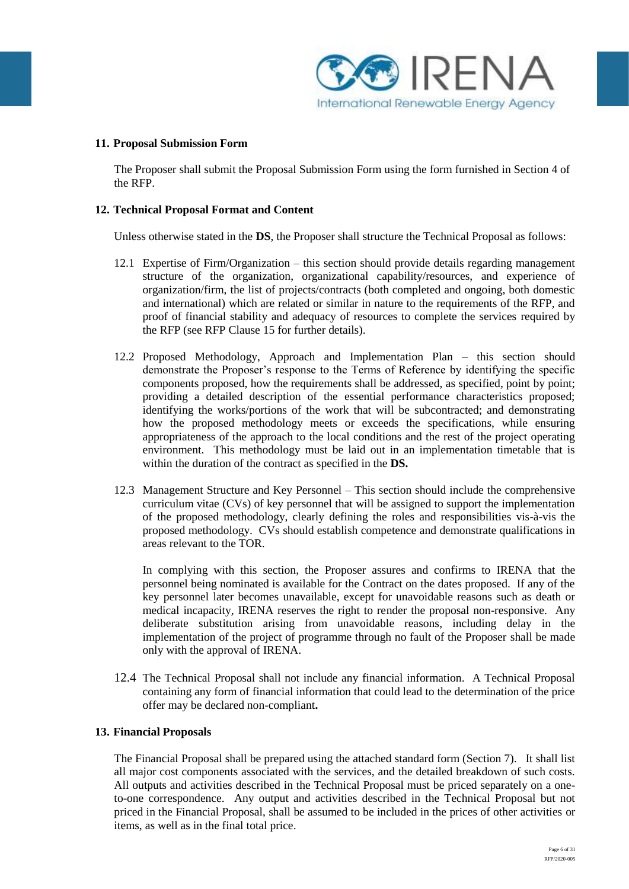

#### **11. Proposal Submission Form**

The Proposer shall submit the Proposal Submission Form using the form furnished in Section 4 of the RFP.

#### **12. Technical Proposal Format and Content**

Unless otherwise stated in the **DS**, the Proposer shall structure the Technical Proposal as follows:

- 12.1 Expertise of Firm/Organization this section should provide details regarding management structure of the organization, organizational capability/resources, and experience of organization/firm, the list of projects/contracts (both completed and ongoing, both domestic and international) which are related or similar in nature to the requirements of the RFP, and proof of financial stability and adequacy of resources to complete the services required by the RFP (see RFP Clause 15 for further details).
- 12.2 Proposed Methodology, Approach and Implementation Plan this section should demonstrate the Proposer's response to the Terms of Reference by identifying the specific components proposed, how the requirements shall be addressed, as specified, point by point; providing a detailed description of the essential performance characteristics proposed; identifying the works/portions of the work that will be subcontracted; and demonstrating how the proposed methodology meets or exceeds the specifications, while ensuring appropriateness of the approach to the local conditions and the rest of the project operating environment. This methodology must be laid out in an implementation timetable that is within the duration of the contract as specified in the **DS.**
- 12.3 Management Structure and Key Personnel This section should include the comprehensive curriculum vitae (CVs) of key personnel that will be assigned to support the implementation of the proposed methodology, clearly defining the roles and responsibilities vis-à-vis the proposed methodology. CVs should establish competence and demonstrate qualifications in areas relevant to the TOR.

In complying with this section, the Proposer assures and confirms to IRENA that the personnel being nominated is available for the Contract on the dates proposed. If any of the key personnel later becomes unavailable, except for unavoidable reasons such as death or medical incapacity, IRENA reserves the right to render the proposal non-responsive. Any deliberate substitution arising from unavoidable reasons, including delay in the implementation of the project of programme through no fault of the Proposer shall be made only with the approval of IRENA.

12.4 The Technical Proposal shall not include any financial information. A Technical Proposal containing any form of financial information that could lead to the determination of the price offer may be declared non-compliant**.** 

#### **13. Financial Proposals**

The Financial Proposal shall be prepared using the attached standard form (Section 7). It shall list all major cost components associated with the services, and the detailed breakdown of such costs. All outputs and activities described in the Technical Proposal must be priced separately on a oneto-one correspondence. Any output and activities described in the Technical Proposal but not priced in the Financial Proposal, shall be assumed to be included in the prices of other activities or items, as well as in the final total price.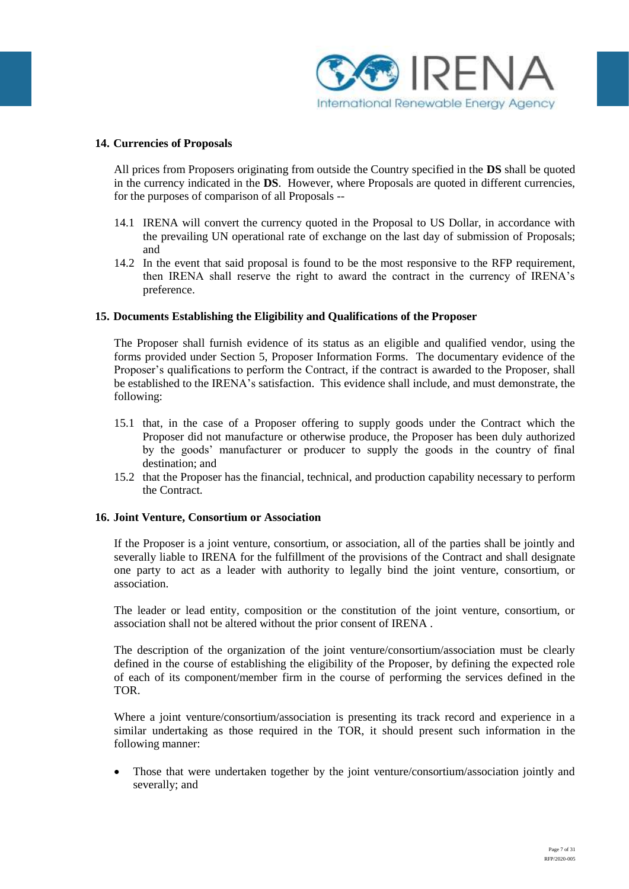

#### **14. Currencies of Proposals**

All prices from Proposers originating from outside the Country specified in the **DS** shall be quoted in the currency indicated in the **DS**. However, where Proposals are quoted in different currencies, for the purposes of comparison of all Proposals --

- 14.1 IRENA will convert the currency quoted in the Proposal to US Dollar, in accordance with the prevailing UN operational rate of exchange on the last day of submission of Proposals; and
- 14.2 In the event that said proposal is found to be the most responsive to the RFP requirement, then IRENA shall reserve the right to award the contract in the currency of IRENA's preference.

#### **15. Documents Establishing the Eligibility and Qualifications of the Proposer**

The Proposer shall furnish evidence of its status as an eligible and qualified vendor, using the forms provided under Section 5, Proposer Information Forms. The documentary evidence of the Proposer's qualifications to perform the Contract, if the contract is awarded to the Proposer, shall be established to the IRENA's satisfaction. This evidence shall include, and must demonstrate, the following:

- 15.1 that, in the case of a Proposer offering to supply goods under the Contract which the Proposer did not manufacture or otherwise produce, the Proposer has been duly authorized by the goods' manufacturer or producer to supply the goods in the country of final destination; and
- 15.2 that the Proposer has the financial, technical, and production capability necessary to perform the Contract.

#### **16. Joint Venture, Consortium or Association**

If the Proposer is a joint venture, consortium, or association, all of the parties shall be jointly and severally liable to IRENA for the fulfillment of the provisions of the Contract and shall designate one party to act as a leader with authority to legally bind the joint venture, consortium, or association.

The leader or lead entity, composition or the constitution of the joint venture, consortium, or association shall not be altered without the prior consent of IRENA .

The description of the organization of the joint venture/consortium/association must be clearly defined in the course of establishing the eligibility of the Proposer, by defining the expected role of each of its component/member firm in the course of performing the services defined in the TOR.

Where a joint venture/consortium/association is presenting its track record and experience in a similar undertaking as those required in the TOR, it should present such information in the following manner:

 Those that were undertaken together by the joint venture/consortium/association jointly and severally; and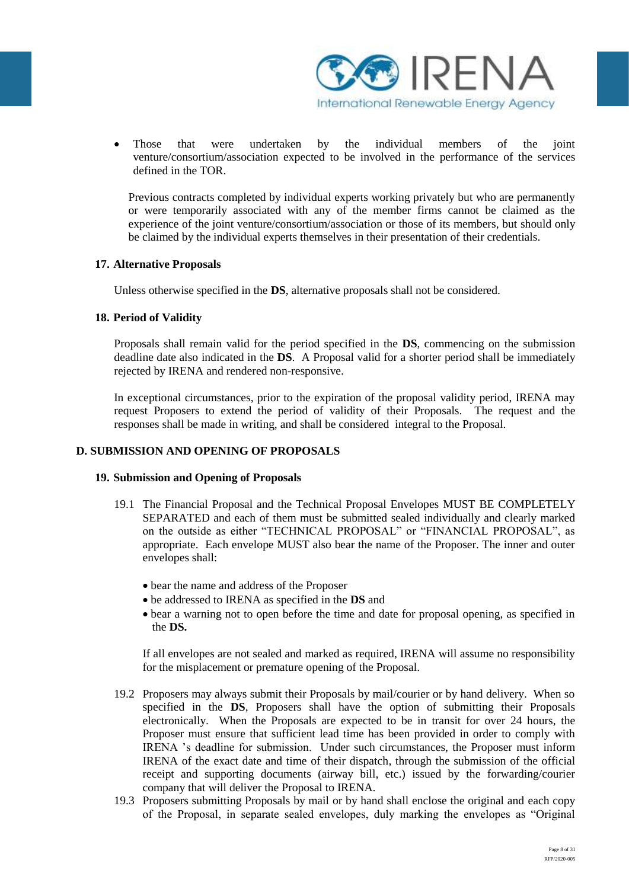

 Those that were undertaken by the individual members of the joint venture/consortium/association expected to be involved in the performance of the services defined in the TOR.

Previous contracts completed by individual experts working privately but who are permanently or were temporarily associated with any of the member firms cannot be claimed as the experience of the joint venture/consortium/association or those of its members, but should only be claimed by the individual experts themselves in their presentation of their credentials.

### **17. Alternative Proposals**

Unless otherwise specified in the **DS**, alternative proposals shall not be considered.

### **18. Period of Validity**

Proposals shall remain valid for the period specified in the **DS**, commencing on the submission deadline date also indicated in the **DS**. A Proposal valid for a shorter period shall be immediately rejected by IRENA and rendered non-responsive.

In exceptional circumstances, prior to the expiration of the proposal validity period, IRENA may request Proposers to extend the period of validity of their Proposals.The request and the responses shall be made in writing, and shall be considered integral to the Proposal.

### **D. SUBMISSION AND OPENING OF PROPOSALS**

### **19. Submission and Opening of Proposals**

- 19.1 The Financial Proposal and the Technical Proposal Envelopes MUST BE COMPLETELY SEPARATED and each of them must be submitted sealed individually and clearly marked on the outside as either "TECHNICAL PROPOSAL" or "FINANCIAL PROPOSAL", as appropriate. Each envelope MUST also bear the name of the Proposer. The inner and outer envelopes shall:
	- bear the name and address of the Proposer
	- be addressed to IRENA as specified in the **DS** and
	- bear a warning not to open before the time and date for proposal opening, as specified in the **DS.**

If all envelopes are not sealed and marked as required, IRENA will assume no responsibility for the misplacement or premature opening of the Proposal.

- 19.2 Proposers may always submit their Proposals by mail/courier or by hand delivery. When so specified in the **DS**, Proposers shall have the option of submitting their Proposals electronically. When the Proposals are expected to be in transit for over 24 hours, the Proposer must ensure that sufficient lead time has been provided in order to comply with IRENA 's deadline for submission. Under such circumstances, the Proposer must inform IRENA of the exact date and time of their dispatch, through the submission of the official receipt and supporting documents (airway bill, etc.) issued by the forwarding/courier company that will deliver the Proposal to IRENA.
- 19.3 Proposers submitting Proposals by mail or by hand shall enclose the original and each copy of the Proposal, in separate sealed envelopes, duly marking the envelopes as "Original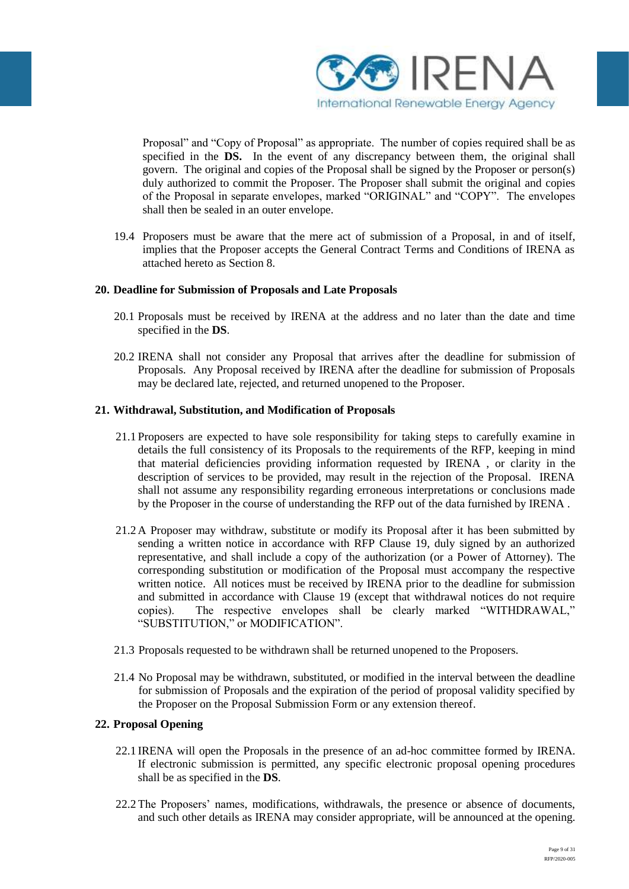

Proposal" and "Copy of Proposal" as appropriate. The number of copies required shall be as specified in the **DS.** In the event of any discrepancy between them, the original shall govern. The original and copies of the Proposal shall be signed by the Proposer or person(s) duly authorized to commit the Proposer. The Proposer shall submit the original and copies of the Proposal in separate envelopes, marked "ORIGINAL" and "COPY". The envelopes shall then be sealed in an outer envelope.

19.4 Proposers must be aware that the mere act of submission of a Proposal, in and of itself, implies that the Proposer accepts the General Contract Terms and Conditions of IRENA as attached hereto as Section 8.

### **20. Deadline for Submission of Proposals and Late Proposals**

- 20.1 Proposals must be received by IRENA at the address and no later than the date and time specified in the **DS**.
- 20.2 IRENA shall not consider any Proposal that arrives after the deadline for submission of Proposals. Any Proposal received by IRENA after the deadline for submission of Proposals may be declared late, rejected, and returned unopened to the Proposer.

### **21. Withdrawal, Substitution, and Modification of Proposals**

- 21.1 Proposers are expected to have sole responsibility for taking steps to carefully examine in details the full consistency of its Proposals to the requirements of the RFP, keeping in mind that material deficiencies providing information requested by IRENA , or clarity in the description of services to be provided, may result in the rejection of the Proposal. IRENA shall not assume any responsibility regarding erroneous interpretations or conclusions made by the Proposer in the course of understanding the RFP out of the data furnished by IRENA .
- 21.2 A Proposer may withdraw, substitute or modify its Proposal after it has been submitted by sending a written notice in accordance with RFP Clause 19, duly signed by an authorized representative, and shall include a copy of the authorization (or a Power of Attorney). The corresponding substitution or modification of the Proposal must accompany the respective written notice. All notices must be received by IRENA prior to the deadline for submission and submitted in accordance with Clause 19 (except that withdrawal notices do not require copies). The respective envelopes shall be clearly marked "WITHDRAWAL," "SUBSTITUTION," or MODIFICATION".
- 21.3 Proposals requested to be withdrawn shall be returned unopened to the Proposers.
- 21.4 No Proposal may be withdrawn, substituted, or modified in the interval between the deadline for submission of Proposals and the expiration of the period of proposal validity specified by the Proposer on the Proposal Submission Form or any extension thereof.

## **22. Proposal Opening**

- 22.1 IRENA will open the Proposals in the presence of an ad-hoc committee formed by IRENA. If electronic submission is permitted, any specific electronic proposal opening procedures shall be as specified in the **DS**.
- 22.2The Proposers' names, modifications, withdrawals, the presence or absence of documents, and such other details as IRENA may consider appropriate, will be announced at the opening.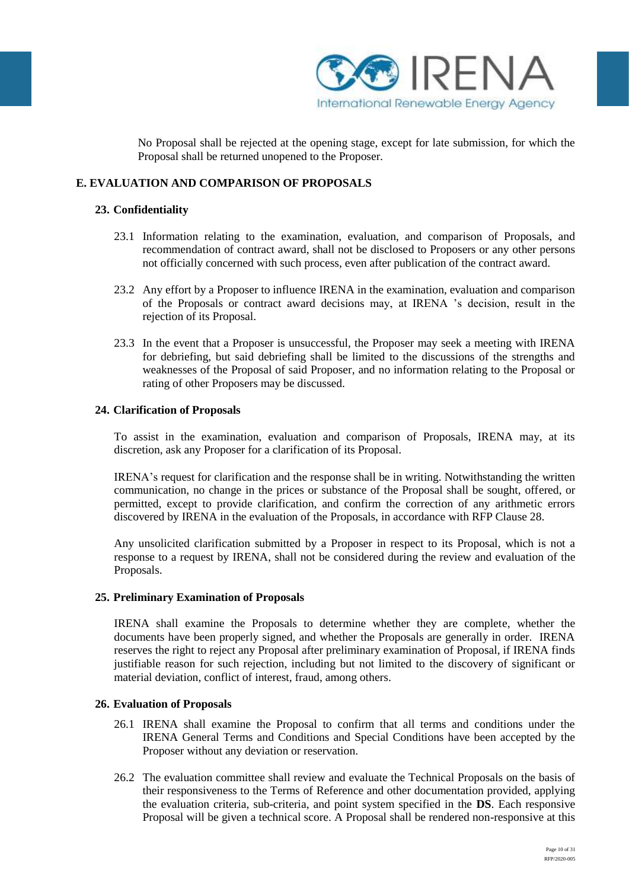

No Proposal shall be rejected at the opening stage, except for late submission, for which the Proposal shall be returned unopened to the Proposer.

### **E. EVALUATION AND COMPARISON OF PROPOSALS**

### **23. Confidentiality**

- 23.1 Information relating to the examination, evaluation, and comparison of Proposals, and recommendation of contract award, shall not be disclosed to Proposers or any other persons not officially concerned with such process, even after publication of the contract award.
- 23.2 Any effort by a Proposer to influence IRENA in the examination, evaluation and comparison of the Proposals or contract award decisions may, at IRENA 's decision, result in the rejection of its Proposal.
- 23.3 In the event that a Proposer is unsuccessful, the Proposer may seek a meeting with IRENA for debriefing, but said debriefing shall be limited to the discussions of the strengths and weaknesses of the Proposal of said Proposer, and no information relating to the Proposal or rating of other Proposers may be discussed.

#### **24. Clarification of Proposals**

To assist in the examination, evaluation and comparison of Proposals, IRENA may, at its discretion, ask any Proposer for a clarification of its Proposal.

IRENA's request for clarification and the response shall be in writing. Notwithstanding the written communication, no change in the prices or substance of the Proposal shall be sought, offered, or permitted, except to provide clarification, and confirm the correction of any arithmetic errors discovered by IRENA in the evaluation of the Proposals, in accordance with RFP Clause 28.

Any unsolicited clarification submitted by a Proposer in respect to its Proposal, which is not a response to a request by IRENA, shall not be considered during the review and evaluation of the Proposals.

### **25. Preliminary Examination of Proposals**

IRENA shall examine the Proposals to determine whether they are complete, whether the documents have been properly signed, and whether the Proposals are generally in order. IRENA reserves the right to reject any Proposal after preliminary examination of Proposal, if IRENA finds justifiable reason for such rejection, including but not limited to the discovery of significant or material deviation, conflict of interest, fraud, among others.

#### **26. Evaluation of Proposals**

- 26.1 IRENA shall examine the Proposal to confirm that all terms and conditions under the IRENA General Terms and Conditions and Special Conditions have been accepted by the Proposer without any deviation or reservation.
- 26.2 The evaluation committee shall review and evaluate the Technical Proposals on the basis of their responsiveness to the Terms of Reference and other documentation provided, applying the evaluation criteria, sub-criteria, and point system specified in the **DS**. Each responsive Proposal will be given a technical score. A Proposal shall be rendered non-responsive at this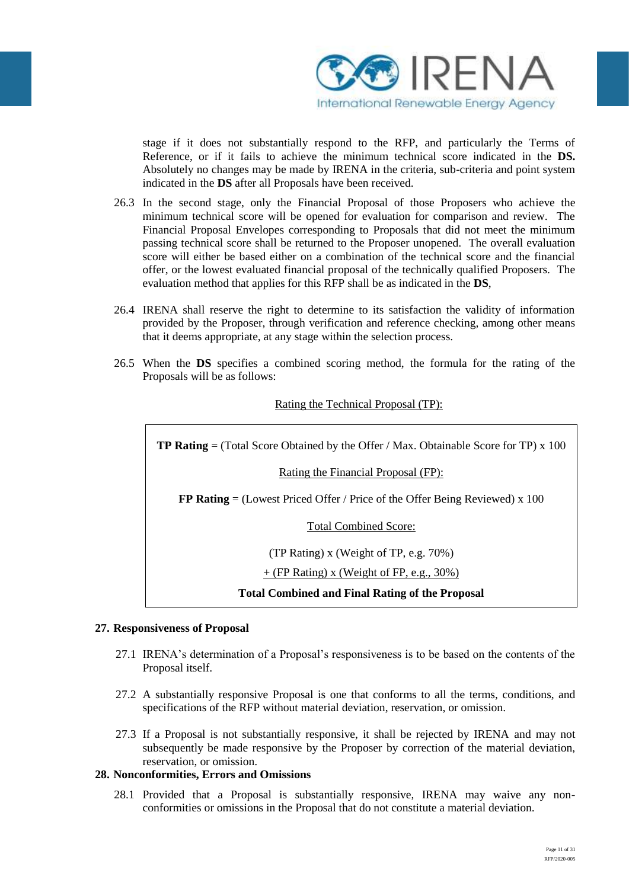

stage if it does not substantially respond to the RFP, and particularly the Terms of Reference, or if it fails to achieve the minimum technical score indicated in the **DS.**  Absolutely no changes may be made by IRENA in the criteria, sub-criteria and point system indicated in the **DS** after all Proposals have been received.

- 26.3 In the second stage, only the Financial Proposal of those Proposers who achieve the minimum technical score will be opened for evaluation for comparison and review. The Financial Proposal Envelopes corresponding to Proposals that did not meet the minimum passing technical score shall be returned to the Proposer unopened. The overall evaluation score will either be based either on a combination of the technical score and the financial offer, or the lowest evaluated financial proposal of the technically qualified Proposers. The evaluation method that applies for this RFP shall be as indicated in the **DS**,
- 26.4 IRENA shall reserve the right to determine to its satisfaction the validity of information provided by the Proposer, through verification and reference checking, among other means that it deems appropriate, at any stage within the selection process.
- 26.5 When the **DS** specifies a combined scoring method, the formula for the rating of the Proposals will be as follows:

## Rating the Technical Proposal (TP):

**TP Rating** = (Total Score Obtained by the Offer / Max. Obtainable Score for TP) x 100

Rating the Financial Proposal (FP):

**FP Rating** = (Lowest Priced Offer / Price of the Offer Being Reviewed) x 100

Total Combined Score:

(TP Rating) x (Weight of TP, e.g. 70%)

### $+$  (FP Rating) x (Weight of FP, e.g., 30%)

**Total Combined and Final Rating of the Proposal**

### **27. Responsiveness of Proposal**

- 27.1 IRENA's determination of a Proposal's responsiveness is to be based on the contents of the Proposal itself.
- 27.2 A substantially responsive Proposal is one that conforms to all the terms, conditions, and specifications of the RFP without material deviation, reservation, or omission.
- 27.3 If a Proposal is not substantially responsive, it shall be rejected by IRENA and may not subsequently be made responsive by the Proposer by correction of the material deviation, reservation, or omission.

### **28. Nonconformities, Errors and Omissions**

28.1 Provided that a Proposal is substantially responsive, IRENA may waive any nonconformities or omissions in the Proposal that do not constitute a material deviation.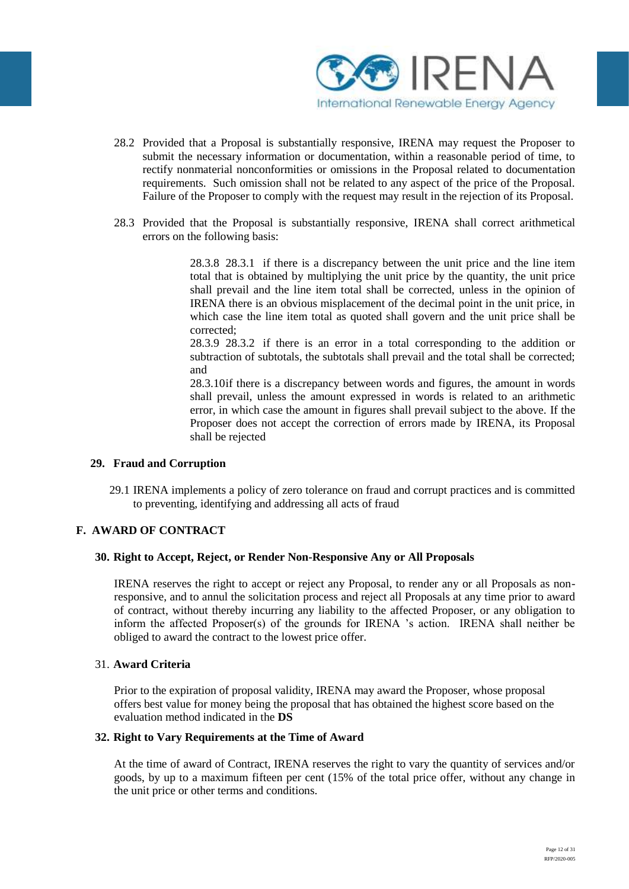

- 28.2 Provided that a Proposal is substantially responsive, IRENA may request the Proposer to submit the necessary information or documentation, within a reasonable period of time, to rectify nonmaterial nonconformities or omissions in the Proposal related to documentation requirements. Such omission shall not be related to any aspect of the price of the Proposal. Failure of the Proposer to comply with the request may result in the rejection of its Proposal.
- 28.3 Provided that the Proposal is substantially responsive, IRENA shall correct arithmetical errors on the following basis:

28.3.8 28.3.1 if there is a discrepancy between the unit price and the line item total that is obtained by multiplying the unit price by the quantity, the unit price shall prevail and the line item total shall be corrected, unless in the opinion of IRENA there is an obvious misplacement of the decimal point in the unit price, in which case the line item total as quoted shall govern and the unit price shall be corrected;

28.3.9 28.3.2 if there is an error in a total corresponding to the addition or subtraction of subtotals, the subtotals shall prevail and the total shall be corrected; and

28.3.10if there is a discrepancy between words and figures, the amount in words shall prevail, unless the amount expressed in words is related to an arithmetic error, in which case the amount in figures shall prevail subject to the above. If the Proposer does not accept the correction of errors made by IRENA, its Proposal shall be rejected

### **29. Fraud and Corruption**

29.1 IRENA implements a policy of zero tolerance on fraud and corrupt practices and is committed to preventing, identifying and addressing all acts of fraud

### **F. AWARD OF CONTRACT**

#### **30. Right to Accept, Reject, or Render Non-Responsive Any or All Proposals**

IRENA reserves the right to accept or reject any Proposal, to render any or all Proposals as nonresponsive, and to annul the solicitation process and reject all Proposals at any time prior to award of contract, without thereby incurring any liability to the affected Proposer, or any obligation to inform the affected Proposer(s) of the grounds for IRENA 's action. IRENA shall neither be obliged to award the contract to the lowest price offer.

#### 31. **Award Criteria**

Prior to the expiration of proposal validity, IRENA may award the Proposer, whose proposal offers best value for money being the proposal that has obtained the highest score based on the evaluation method indicated in the **DS**

#### **32. Right to Vary Requirements at the Time of Award**

At the time of award of Contract, IRENA reserves the right to vary the quantity of services and/or goods, by up to a maximum fifteen per cent (15% of the total price offer, without any change in the unit price or other terms and conditions.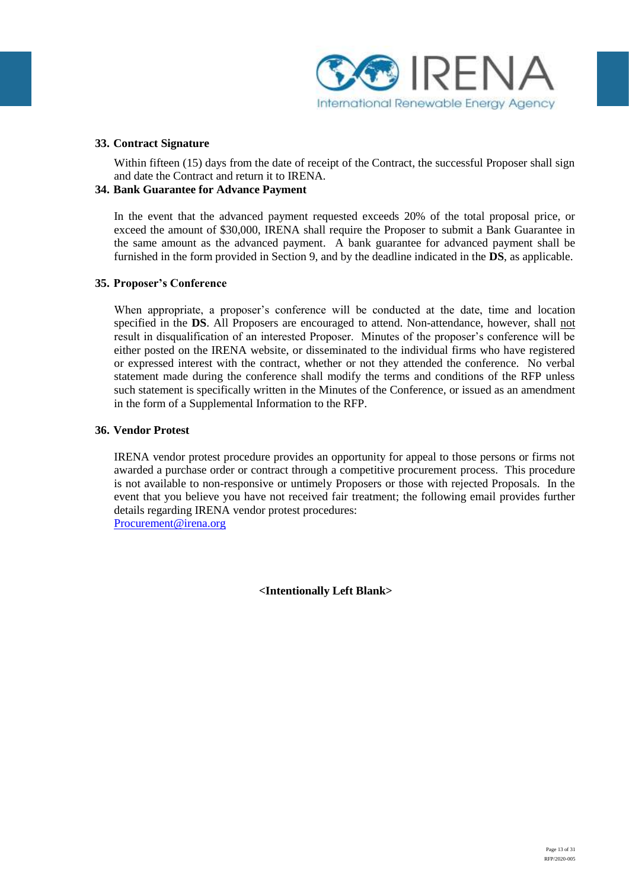

#### **33. Contract Signature**

Within fifteen (15) days from the date of receipt of the Contract, the successful Proposer shall sign and date the Contract and return it to IRENA.

### **34. Bank Guarantee for Advance Payment**

In the event that the advanced payment requested exceeds 20% of the total proposal price, or exceed the amount of \$30,000, IRENA shall require the Proposer to submit a Bank Guarantee in the same amount as the advanced payment. A bank guarantee for advanced payment shall be furnished in the form provided in Section 9, and by the deadline indicated in the **DS**, as applicable.

#### **35. Proposer's Conference**

When appropriate, a proposer's conference will be conducted at the date, time and location specified in the **DS**. All Proposers are encouraged to attend. Non-attendance, however, shall not result in disqualification of an interested Proposer. Minutes of the proposer's conference will be either posted on the IRENA website, or disseminated to the individual firms who have registered or expressed interest with the contract, whether or not they attended the conference. No verbal statement made during the conference shall modify the terms and conditions of the RFP unless such statement is specifically written in the Minutes of the Conference, or issued as an amendment in the form of a Supplemental Information to the RFP.

#### **36. Vendor Protest**

IRENA vendor protest procedure provides an opportunity for appeal to those persons or firms not awarded a purchase order or contract through a competitive procurement process. This procedure is not available to non-responsive or untimely Proposers or those with rejected Proposals. In the event that you believe you have not received fair treatment; the following email provides further details regarding IRENA vendor protest procedures: [Procurement@irena.org](mailto:Procurement@irena.org)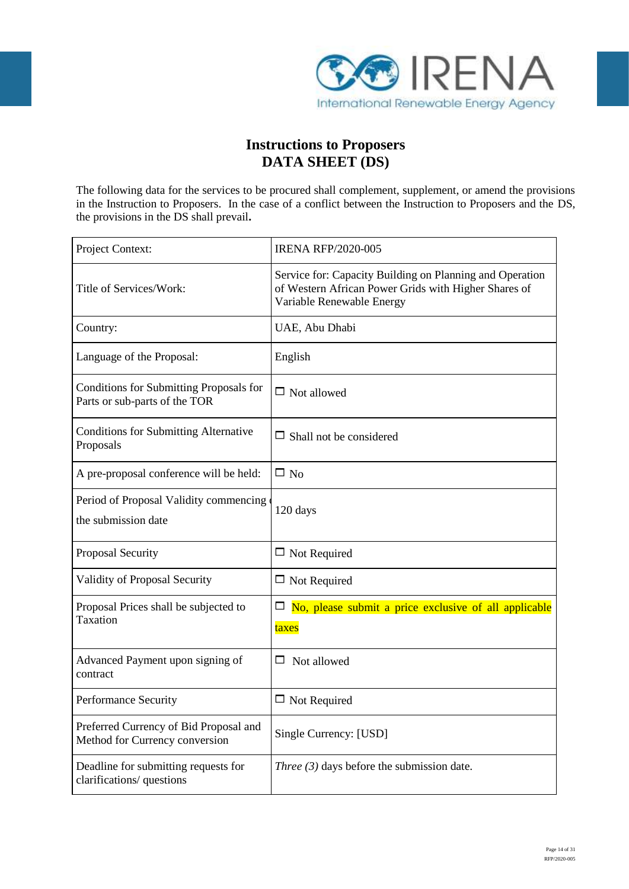

# **Instructions to Proposers DATA SHEET (DS)**

The following data for the services to be procured shall complement, supplement, or amend the provisions in the Instruction to Proposers. In the case of a conflict between the Instruction to Proposers and the DS, the provisions in the DS shall prevail**.** 

| Project Context:                                                         | <b>IRENA RFP/2020-005</b>                                                                                                                     |
|--------------------------------------------------------------------------|-----------------------------------------------------------------------------------------------------------------------------------------------|
| Title of Services/Work:                                                  | Service for: Capacity Building on Planning and Operation<br>of Western African Power Grids with Higher Shares of<br>Variable Renewable Energy |
| Country:                                                                 | UAE, Abu Dhabi                                                                                                                                |
| Language of the Proposal:                                                | English                                                                                                                                       |
| Conditions for Submitting Proposals for<br>Parts or sub-parts of the TOR | $\Box$ Not allowed                                                                                                                            |
| <b>Conditions for Submitting Alternative</b><br>Proposals                | $\Box$ Shall not be considered                                                                                                                |
| A pre-proposal conference will be held:                                  | $\square$ No                                                                                                                                  |
| Period of Proposal Validity commencing<br>the submission date            | 120 days                                                                                                                                      |
| Proposal Security                                                        | $\Box$ Not Required                                                                                                                           |
| Validity of Proposal Security                                            | $\Box$ Not Required                                                                                                                           |
| Proposal Prices shall be subjected to<br>Taxation                        | $\Box$ No, please submit a price exclusive of all applicable<br>taxes                                                                         |
| Advanced Payment upon signing of<br>contract                             | Not allowed<br>ப                                                                                                                              |
| Performance Security                                                     | $\Box$ Not Required                                                                                                                           |
| Preferred Currency of Bid Proposal and<br>Method for Currency conversion | Single Currency: [USD]                                                                                                                        |
| Deadline for submitting requests for<br>clarifications/ questions        | Three $(3)$ days before the submission date.                                                                                                  |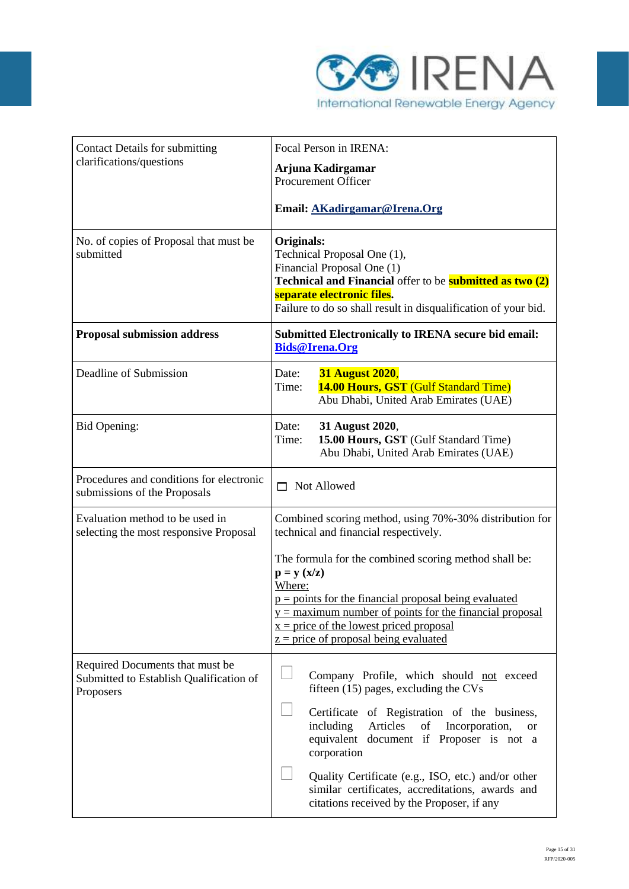

| <b>Contact Details for submitting</b>                                                   | Focal Person in IRENA:                                                                                                                                                                                                                     |  |  |
|-----------------------------------------------------------------------------------------|--------------------------------------------------------------------------------------------------------------------------------------------------------------------------------------------------------------------------------------------|--|--|
| clarifications/questions                                                                | Arjuna Kadirgamar<br>Procurement Officer                                                                                                                                                                                                   |  |  |
|                                                                                         | Email: AKadirgamar@Irena.Org                                                                                                                                                                                                               |  |  |
| No. of copies of Proposal that must be<br>submitted                                     | Originals:<br>Technical Proposal One (1),<br>Financial Proposal One (1)<br>Technical and Financial offer to be <b>submitted as two (2)</b><br>separate electronic files.<br>Failure to do so shall result in disqualification of your bid. |  |  |
| <b>Proposal submission address</b>                                                      | <b>Submitted Electronically to IRENA secure bid email:</b><br><b>Bids@Irena.Org</b>                                                                                                                                                        |  |  |
| Deadline of Submission                                                                  | <b>31 August 2020,</b><br>Date:<br>14.00 Hours, GST (Gulf Standard Time)<br>Time:<br>Abu Dhabi, United Arab Emirates (UAE)                                                                                                                 |  |  |
| <b>Bid Opening:</b>                                                                     | 31 August 2020,<br>Date:<br>15.00 Hours, GST (Gulf Standard Time)<br>Time:<br>Abu Dhabi, United Arab Emirates (UAE)                                                                                                                        |  |  |
| Procedures and conditions for electronic<br>submissions of the Proposals                | $\Box$ Not Allowed                                                                                                                                                                                                                         |  |  |
| Evaluation method to be used in<br>selecting the most responsive Proposal               | Combined scoring method, using 70%-30% distribution for<br>technical and financial respectively.                                                                                                                                           |  |  |
|                                                                                         | The formula for the combined scoring method shall be:<br>$\mathbf{p} = \mathbf{y} \left( \mathbf{x}/\mathbf{z} \right)$<br>Where:                                                                                                          |  |  |
|                                                                                         | $p =$ points for the financial proposal being evaluated<br>$y =$ maximum number of points for the financial proposal<br>$x = price of the lowest priced proposal$<br>$z = price of proposal being evaluated$                               |  |  |
| Required Documents that must be<br>Submitted to Establish Qualification of<br>Proposers | Company Profile, which should not exceed<br>fifteen (15) pages, excluding the CVs                                                                                                                                                          |  |  |
|                                                                                         | Certificate of Registration of the business,<br>including<br>Articles<br>of<br>Incorporation,<br><sub>or</sub><br>equivalent document if Proposer is not a<br>corporation                                                                  |  |  |
|                                                                                         | Quality Certificate (e.g., ISO, etc.) and/or other<br>similar certificates, accreditations, awards and<br>citations received by the Proposer, if any                                                                                       |  |  |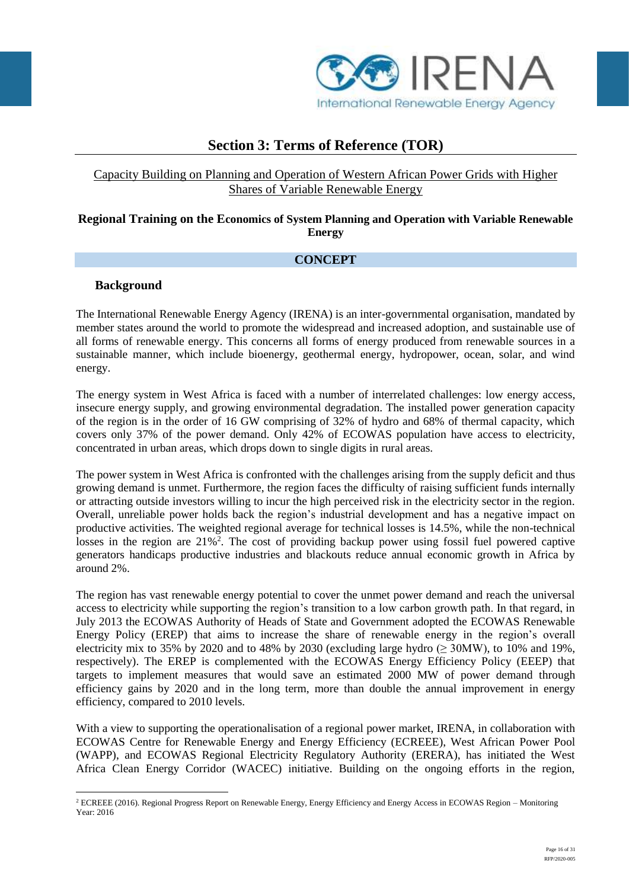

# **Section 3: Terms of Reference (TOR)**

# Capacity Building on Planning and Operation of Western African Power Grids with Higher Shares of Variable Renewable Energy

## **Regional Training on the Economics of System Planning and Operation with Variable Renewable Energy**

# **CONCEPT**

## **Background**

1

The International Renewable Energy Agency (IRENA) is an inter-governmental organisation, mandated by member states around the world to promote the widespread and increased adoption, and sustainable use of all forms of renewable energy. This concerns all forms of energy produced from renewable sources in a sustainable manner, which include bioenergy, geothermal energy, hydropower, ocean, solar, and wind energy.

The energy system in West Africa is faced with a number of interrelated challenges: low energy access, insecure energy supply, and growing environmental degradation. The installed power generation capacity of the region is in the order of 16 GW comprising of 32% of hydro and 68% of thermal capacity, which covers only 37% of the power demand. Only 42% of ECOWAS population have access to electricity, concentrated in urban areas, which drops down to single digits in rural areas.

The power system in West Africa is confronted with the challenges arising from the supply deficit and thus growing demand is unmet. Furthermore, the region faces the difficulty of raising sufficient funds internally or attracting outside investors willing to incur the high perceived risk in the electricity sector in the region. Overall, unreliable power holds back the region's industrial development and has a negative impact on productive activities. The weighted regional average for technical losses is 14.5%, while the non-technical losses in the region are 21%<sup>2</sup>. The cost of providing backup power using fossil fuel powered captive generators handicaps productive industries and blackouts reduce annual economic growth in Africa by around 2%.

The region has vast renewable energy potential to cover the unmet power demand and reach the universal access to electricity while supporting the region's transition to a low carbon growth path. In that regard, in July 2013 the ECOWAS Authority of Heads of State and Government adopted the ECOWAS Renewable Energy Policy (EREP) that aims to increase the share of renewable energy in the region's overall electricity mix to 35% by 2020 and to 48% by 2030 (excluding large hydro  $(> 30MW)$ , to 10% and 19%, respectively). The EREP is complemented with the ECOWAS Energy Efficiency Policy (EEEP) that targets to implement measures that would save an estimated 2000 MW of power demand through efficiency gains by 2020 and in the long term, more than double the annual improvement in energy efficiency, compared to 2010 levels.

With a view to supporting the operationalisation of a regional power market, IRENA, in collaboration with ECOWAS Centre for Renewable Energy and Energy Efficiency (ECREEE), West African Power Pool (WAPP), and ECOWAS Regional Electricity Regulatory Authority (ERERA), has initiated the West Africa Clean Energy Corridor (WACEC) initiative. Building on the ongoing efforts in the region,

<sup>2</sup> ECREEE (2016). Regional Progress Report on Renewable Energy, Energy Efficiency and Energy Access in ECOWAS Region – Monitoring Year: 2016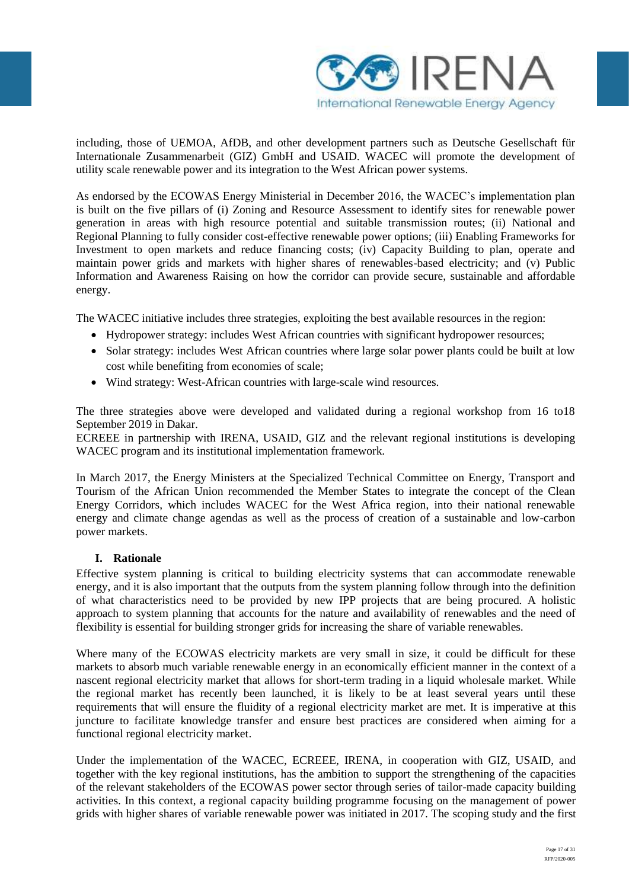

including, those of UEMOA, AfDB, and other development partners such as Deutsche Gesellschaft für Internationale Zusammenarbeit (GIZ) GmbH and USAID. WACEC will promote the development of utility scale renewable power and its integration to the West African power systems.

As endorsed by the ECOWAS Energy Ministerial in December 2016, the WACEC's implementation plan is built on the five pillars of (i) Zoning and Resource Assessment to identify sites for renewable power generation in areas with high resource potential and suitable transmission routes; (ii) National and Regional Planning to fully consider cost-effective renewable power options; (iii) Enabling Frameworks for Investment to open markets and reduce financing costs; (iv) Capacity Building to plan, operate and maintain power grids and markets with higher shares of renewables-based electricity; and (v) Public Information and Awareness Raising on how the corridor can provide secure, sustainable and affordable energy.

The WACEC initiative includes three strategies, exploiting the best available resources in the region:

- Hydropower strategy: includes West African countries with significant hydropower resources;
- Solar strategy: includes West African countries where large solar power plants could be built at low cost while benefiting from economies of scale;
- Wind strategy: West-African countries with large-scale wind resources.

The three strategies above were developed and validated during a regional workshop from 16 to18 September 2019 in Dakar.

ECREEE in partnership with IRENA, USAID, GIZ and the relevant regional institutions is developing WACEC program and its institutional implementation framework.

In March 2017, the Energy Ministers at the Specialized Technical Committee on Energy, Transport and Tourism of the African Union recommended the Member States to integrate the concept of the Clean Energy Corridors, which includes WACEC for the West Africa region, into their national renewable energy and climate change agendas as well as the process of creation of a sustainable and low-carbon power markets.

### **I. Rationale**

Effective system planning is critical to building electricity systems that can accommodate renewable energy, and it is also important that the outputs from the system planning follow through into the definition of what characteristics need to be provided by new IPP projects that are being procured. A holistic approach to system planning that accounts for the nature and availability of renewables and the need of flexibility is essential for building stronger grids for increasing the share of variable renewables.

Where many of the ECOWAS electricity markets are very small in size, it could be difficult for these markets to absorb much variable renewable energy in an economically efficient manner in the context of a nascent regional electricity market that allows for short-term trading in a liquid wholesale market. While the regional market has recently been launched, it is likely to be at least several years until these requirements that will ensure the fluidity of a regional electricity market are met. It is imperative at this juncture to facilitate knowledge transfer and ensure best practices are considered when aiming for a functional regional electricity market.

Under the implementation of the WACEC, ECREEE, IRENA, in cooperation with GIZ, USAID, and together with the key regional institutions, has the ambition to support the strengthening of the capacities of the relevant stakeholders of the ECOWAS power sector through series of tailor-made capacity building activities. In this context, a regional capacity building programme focusing on the management of power grids with higher shares of variable renewable power was initiated in 2017. The scoping study and the first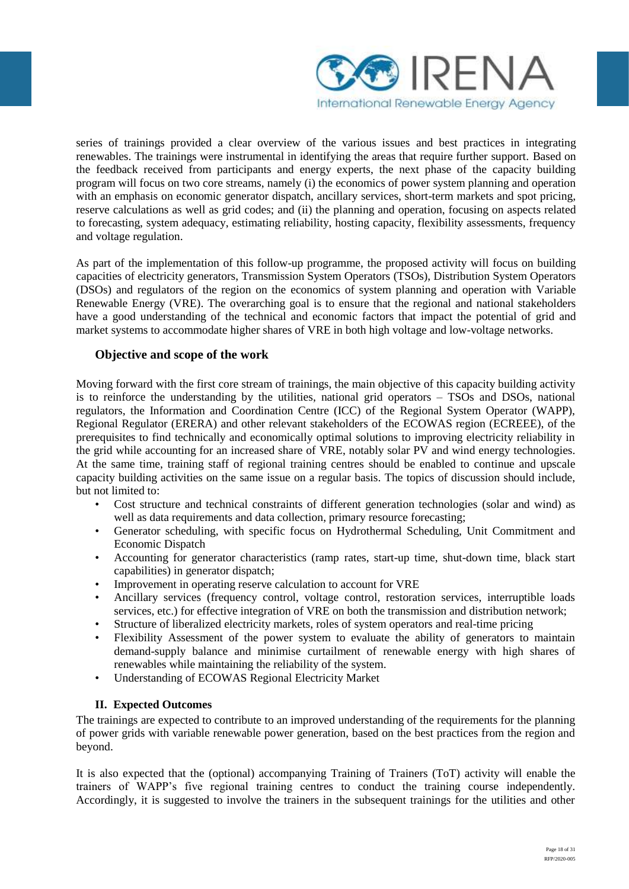

series of trainings provided a clear overview of the various issues and best practices in integrating renewables. The trainings were instrumental in identifying the areas that require further support. Based on the feedback received from participants and energy experts, the next phase of the capacity building program will focus on two core streams, namely (i) the economics of power system planning and operation with an emphasis on economic generator dispatch, ancillary services, short-term markets and spot pricing, reserve calculations as well as grid codes; and (ii) the planning and operation, focusing on aspects related to forecasting, system adequacy, estimating reliability, hosting capacity, flexibility assessments, frequency and voltage regulation.

As part of the implementation of this follow-up programme, the proposed activity will focus on building capacities of electricity generators, Transmission System Operators (TSOs), Distribution System Operators (DSOs) and regulators of the region on the economics of system planning and operation with Variable Renewable Energy (VRE). The overarching goal is to ensure that the regional and national stakeholders have a good understanding of the technical and economic factors that impact the potential of grid and market systems to accommodate higher shares of VRE in both high voltage and low-voltage networks.

# **Objective and scope of the work**

Moving forward with the first core stream of trainings, the main objective of this capacity building activity is to reinforce the understanding by the utilities, national grid operators – TSOs and DSOs, national regulators, the Information and Coordination Centre (ICC) of the Regional System Operator (WAPP), Regional Regulator (ERERA) and other relevant stakeholders of the ECOWAS region (ECREEE), of the prerequisites to find technically and economically optimal solutions to improving electricity reliability in the grid while accounting for an increased share of VRE, notably solar PV and wind energy technologies. At the same time, training staff of regional training centres should be enabled to continue and upscale capacity building activities on the same issue on a regular basis. The topics of discussion should include, but not limited to:

- Cost structure and technical constraints of different generation technologies (solar and wind) as well as data requirements and data collection, primary resource forecasting;
- Generator scheduling, with specific focus on Hydrothermal Scheduling, Unit Commitment and Economic Dispatch
- Accounting for generator characteristics (ramp rates, start-up time, shut-down time, black start capabilities) in generator dispatch;
- Improvement in operating reserve calculation to account for VRE
- Ancillary services (frequency control, voltage control, restoration services, interruptible loads services, etc.) for effective integration of VRE on both the transmission and distribution network;
- Structure of liberalized electricity markets, roles of system operators and real-time pricing
- Flexibility Assessment of the power system to evaluate the ability of generators to maintain demand-supply balance and minimise curtailment of renewable energy with high shares of renewables while maintaining the reliability of the system.
- Understanding of ECOWAS Regional Electricity Market

### **II. Expected Outcomes**

The trainings are expected to contribute to an improved understanding of the requirements for the planning of power grids with variable renewable power generation, based on the best practices from the region and beyond.

It is also expected that the (optional) accompanying Training of Trainers (ToT) activity will enable the trainers of WAPP's five regional training centres to conduct the training course independently. Accordingly, it is suggested to involve the trainers in the subsequent trainings for the utilities and other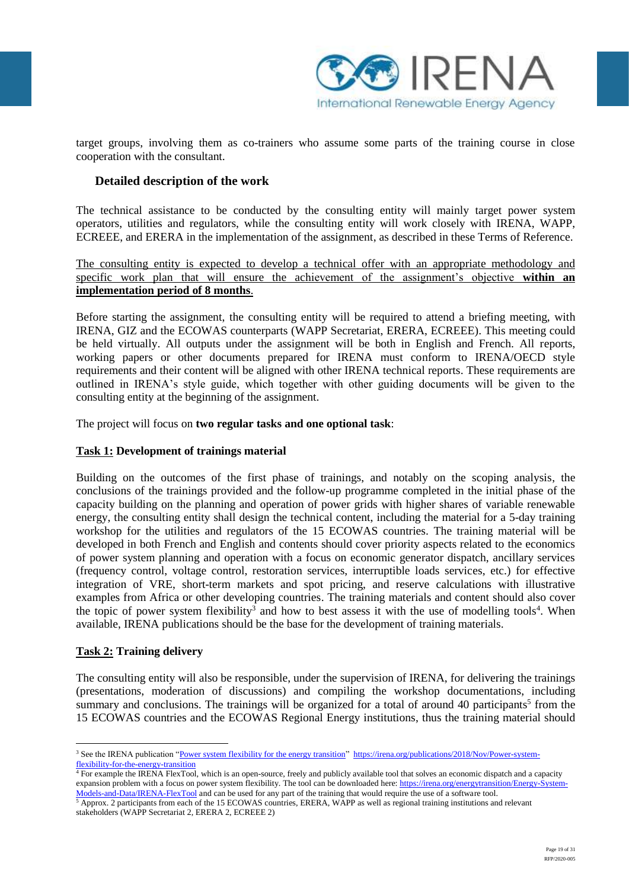

target groups, involving them as co-trainers who assume some parts of the training course in close cooperation with the consultant.

## **Detailed description of the work**

The technical assistance to be conducted by the consulting entity will mainly target power system operators, utilities and regulators, while the consulting entity will work closely with IRENA, WAPP, ECREEE, and ERERA in the implementation of the assignment, as described in these Terms of Reference.

The consulting entity is expected to develop a technical offer with an appropriate methodology and specific work plan that will ensure the achievement of the assignment's objective **within an implementation period of 8 months**.

Before starting the assignment, the consulting entity will be required to attend a briefing meeting, with IRENA, GIZ and the ECOWAS counterparts (WAPP Secretariat, ERERA, ECREEE). This meeting could be held virtually. All outputs under the assignment will be both in English and French. All reports, working papers or other documents prepared for IRENA must conform to IRENA/OECD style requirements and their content will be aligned with other IRENA technical reports. These requirements are outlined in IRENA's style guide, which together with other guiding documents will be given to the consulting entity at the beginning of the assignment.

The project will focus on **two regular tasks and one optional task**:

### **Task 1: Development of trainings material**

Building on the outcomes of the first phase of trainings, and notably on the scoping analysis, the conclusions of the trainings provided and the follow-up programme completed in the initial phase of the capacity building on the planning and operation of power grids with higher shares of variable renewable energy, the consulting entity shall design the technical content, including the material for a 5-day training workshop for the utilities and regulators of the 15 ECOWAS countries. The training material will be developed in both French and English and contents should cover priority aspects related to the economics of power system planning and operation with a focus on economic generator dispatch, ancillary services (frequency control, voltage control, restoration services, interruptible loads services, etc.) for effective integration of VRE, short-term markets and spot pricing, and reserve calculations with illustrative examples from Africa or other developing countries. The training materials and content should also cover the topic of power system flexibility<sup>3</sup> and how to best assess it with the use of modelling tools<sup>4</sup>. When available, IRENA publications should be the base for the development of training materials.

### **Task 2: Training delivery**

1

The consulting entity will also be responsible, under the supervision of IRENA, for delivering the trainings (presentations, moderation of discussions) and compiling the workshop documentations, including summary and conclusions. The trainings will be organized for a total of around 40 participants<sup>5</sup> from the 15 ECOWAS countries and the ECOWAS Regional Energy institutions, thus the training material should

<sup>5</sup> Approx. 2 participants from each of the 15 ECOWAS countries, ERERA, WAPP as well as regional training institutions and relevant stakeholders (WAPP Secretariat 2, ERERA 2, ECREEE 2)

<sup>&</sup>lt;sup>3</sup> See the IRENA publication ["Power system flexibility for the energy transition" https://irena.org/publications/2018/Nov/Power-system](https://irena.org/publications/2018/Nov/Power-system-flexibility-for-the-energy-transition)[flexibility-for-the-energy-transition](https://irena.org/publications/2018/Nov/Power-system-flexibility-for-the-energy-transition)

 $\frac{4}{3}$  For example the IRENA FlexTool, which is an open-source, freely and publicly available tool that solves an economic dispatch and a capacity expansion problem with a focus on power system flexibility. The tool can be downloaded here[: https://irena.org/energytransition/Energy-System-](https://irena.org/energytransition/Energy-System-Models-and-Data/IRENA-FlexTool)[Models-and-Data/IRENA-FlexTool](https://irena.org/energytransition/Energy-System-Models-and-Data/IRENA-FlexTool) and can be used for any part of the training that would require the use of a software tool.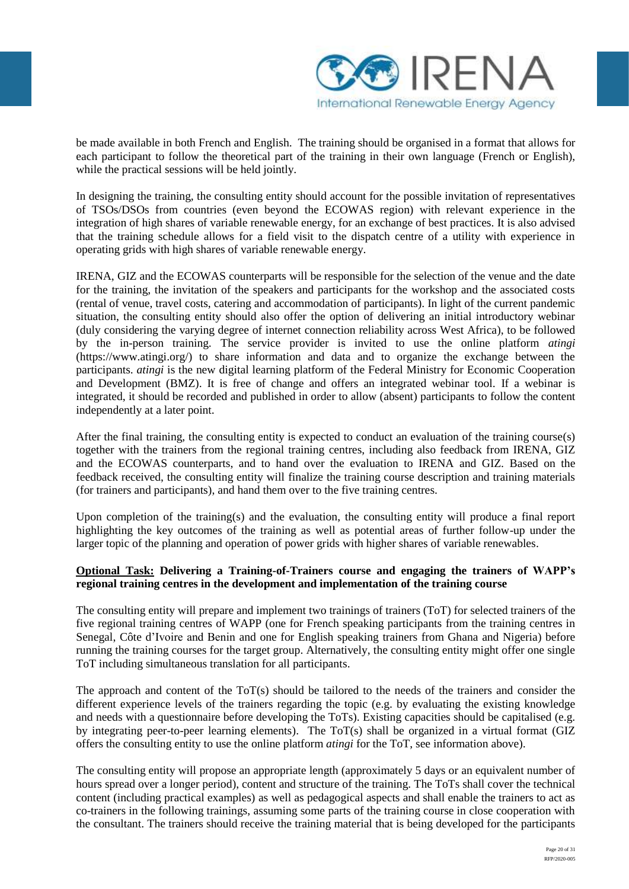

be made available in both French and English. The training should be organised in a format that allows for each participant to follow the theoretical part of the training in their own language (French or English), while the practical sessions will be held jointly.

In designing the training, the consulting entity should account for the possible invitation of representatives of TSOs/DSOs from countries (even beyond the ECOWAS region) with relevant experience in the integration of high shares of variable renewable energy, for an exchange of best practices. It is also advised that the training schedule allows for a field visit to the dispatch centre of a utility with experience in operating grids with high shares of variable renewable energy.

IRENA, GIZ and the ECOWAS counterparts will be responsible for the selection of the venue and the date for the training, the invitation of the speakers and participants for the workshop and the associated costs (rental of venue, travel costs, catering and accommodation of participants). In light of the current pandemic situation, the consulting entity should also offer the option of delivering an initial introductory webinar (duly considering the varying degree of internet connection reliability across West Africa), to be followed by the in-person training. The service provider is invited to use the online platform *atingi* (https://www.atingi.org/) to share information and data and to organize the exchange between the participants. *atingi* is the new digital learning platform of the Federal Ministry for Economic Cooperation and Development (BMZ). It is free of change and offers an integrated webinar tool. If a webinar is integrated, it should be recorded and published in order to allow (absent) participants to follow the content independently at a later point.

After the final training, the consulting entity is expected to conduct an evaluation of the training course(s) together with the trainers from the regional training centres, including also feedback from IRENA, GIZ and the ECOWAS counterparts, and to hand over the evaluation to IRENA and GIZ. Based on the feedback received, the consulting entity will finalize the training course description and training materials (for trainers and participants), and hand them over to the five training centres.

Upon completion of the training(s) and the evaluation, the consulting entity will produce a final report highlighting the key outcomes of the training as well as potential areas of further follow-up under the larger topic of the planning and operation of power grids with higher shares of variable renewables.

### **Optional Task: Delivering a Training-of-Trainers course and engaging the trainers of WAPP's regional training centres in the development and implementation of the training course**

The consulting entity will prepare and implement two trainings of trainers (ToT) for selected trainers of the five regional training centres of WAPP (one for French speaking participants from the training centres in Senegal, Côte d'Ivoire and Benin and one for English speaking trainers from Ghana and Nigeria) before running the training courses for the target group. Alternatively, the consulting entity might offer one single ToT including simultaneous translation for all participants.

The approach and content of the ToT(s) should be tailored to the needs of the trainers and consider the different experience levels of the trainers regarding the topic (e.g. by evaluating the existing knowledge and needs with a questionnaire before developing the ToTs). Existing capacities should be capitalised (e.g. by integrating peer-to-peer learning elements). The ToT(s) shall be organized in a virtual format (GIZ offers the consulting entity to use the online platform *atingi* for the ToT, see information above).

The consulting entity will propose an appropriate length (approximately 5 days or an equivalent number of hours spread over a longer period), content and structure of the training. The ToTs shall cover the technical content (including practical examples) as well as pedagogical aspects and shall enable the trainers to act as co-trainers in the following trainings, assuming some parts of the training course in close cooperation with the consultant. The trainers should receive the training material that is being developed for the participants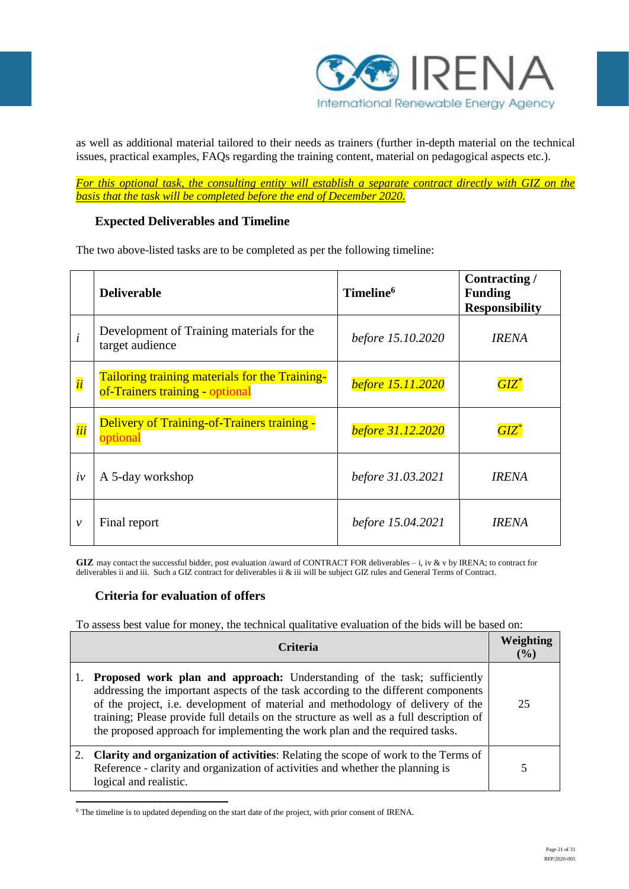

as well as additional material tailored to their needs as trainers (further in-depth material on the technical issues, practical examples, FAQs regarding the training content, material on pedagogical aspects etc.).

*For this optional task, the consulting entity will establish a separate contract directly with GIZ on the basis that the task will be completed before the end of December 2020.*

# **Expected Deliverables and Timeline**

The two above-listed tasks are to be completed as per the following timeline:

|              | <b>Deliverable</b>                                                                | Timeline <sup>6</sup>    | Contracting/<br><b>Funding</b><br><b>Responsibility</b> |
|--------------|-----------------------------------------------------------------------------------|--------------------------|---------------------------------------------------------|
| i            | Development of Training materials for the<br>target audience                      | before 15.10.2020        | <b>IRENA</b>                                            |
| ii           | Tailoring training materials for the Training-<br>of-Trainers training - optional | <b>before</b> 15.11.2020 | $GIZ^{\ast }$                                           |
| iii          | <b>Delivery of Training-of-Trainers training -</b><br>optional                    | before 31.12.2020        | $GIZ^*$                                                 |
| iv           | A 5-day workshop                                                                  | before 31.03.2021        | <b>IRENA</b>                                            |
| $\mathcal V$ | Final report                                                                      | before 15.04.2021        | <b>IRENA</b>                                            |

**GIZ** may contact the successful bidder, post evaluation /award of CONTRACT FOR deliverables – i, iv & v by IRENA; to contract for deliverables ii and iii. Such a GIZ contract for deliverables ii & iii will be subject GIZ rules and General Terms of Contract.

# **Criteria for evaluation of offers**

1

To assess best value for money, the technical qualitative evaluation of the bids will be based on:

| <b>Criteria</b> |                                                                                                                                                                                                                                                                                                                                                                                                                              |    |
|-----------------|------------------------------------------------------------------------------------------------------------------------------------------------------------------------------------------------------------------------------------------------------------------------------------------------------------------------------------------------------------------------------------------------------------------------------|----|
|                 | Proposed work plan and approach: Understanding of the task; sufficiently<br>addressing the important aspects of the task according to the different components<br>of the project, i.e. development of material and methodology of delivery of the<br>training; Please provide full details on the structure as well as a full description of<br>the proposed approach for implementing the work plan and the required tasks. | 25 |
|                 | <b>Clarity and organization of activities:</b> Relating the scope of work to the Terms of<br>Reference - clarity and organization of activities and whether the planning is<br>logical and realistic.                                                                                                                                                                                                                        |    |

<sup>&</sup>lt;sup>6</sup> The timeline is to updated depending on the start date of the project, with prior consent of IRENA.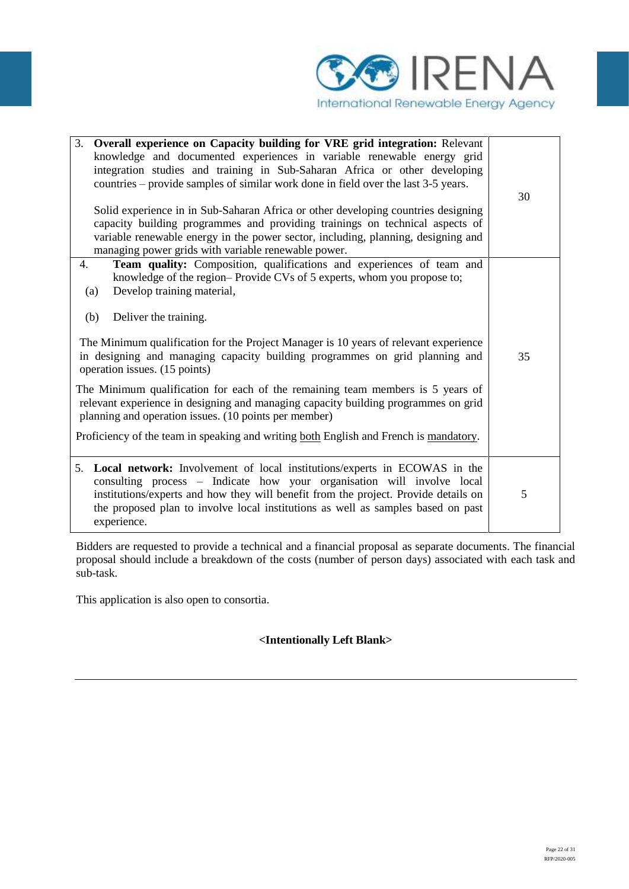

| 3. Overall experience on Capacity building for VRE grid integration: Relevant                                                                                                                                                                                                                                                                    |    |  |  |
|--------------------------------------------------------------------------------------------------------------------------------------------------------------------------------------------------------------------------------------------------------------------------------------------------------------------------------------------------|----|--|--|
| knowledge and documented experiences in variable renewable energy grid<br>integration studies and training in Sub-Saharan Africa or other developing<br>countries – provide samples of similar work done in field over the last 3-5 years.                                                                                                       |    |  |  |
| Solid experience in in Sub-Saharan Africa or other developing countries designing<br>capacity building programmes and providing trainings on technical aspects of<br>variable renewable energy in the power sector, including, planning, designing and<br>managing power grids with variable renewable power.                                    | 30 |  |  |
| Team quality: Composition, qualifications and experiences of team and<br>4.<br>knowledge of the region-Provide CVs of 5 experts, whom you propose to;<br>Develop training material,<br>(a)                                                                                                                                                       |    |  |  |
| Deliver the training.<br>(b)<br>The Minimum qualification for the Project Manager is 10 years of relevant experience<br>in designing and managing capacity building programmes on grid planning and<br>operation issues. (15 points)                                                                                                             |    |  |  |
| The Minimum qualification for each of the remaining team members is 5 years of<br>relevant experience in designing and managing capacity building programmes on grid<br>planning and operation issues. (10 points per member)                                                                                                                    |    |  |  |
| Proficiency of the team in speaking and writing both English and French is mandatory.                                                                                                                                                                                                                                                            |    |  |  |
| 5. Local network: Involvement of local institutions/experts in ECOWAS in the<br>consulting process - Indicate how your organisation will involve local<br>institutions/experts and how they will benefit from the project. Provide details on<br>the proposed plan to involve local institutions as well as samples based on past<br>experience. | 5  |  |  |

Bidders are requested to provide a technical and a financial proposal as separate documents. The financial proposal should include a breakdown of the costs (number of person days) associated with each task and sub-task.

This application is also open to consortia.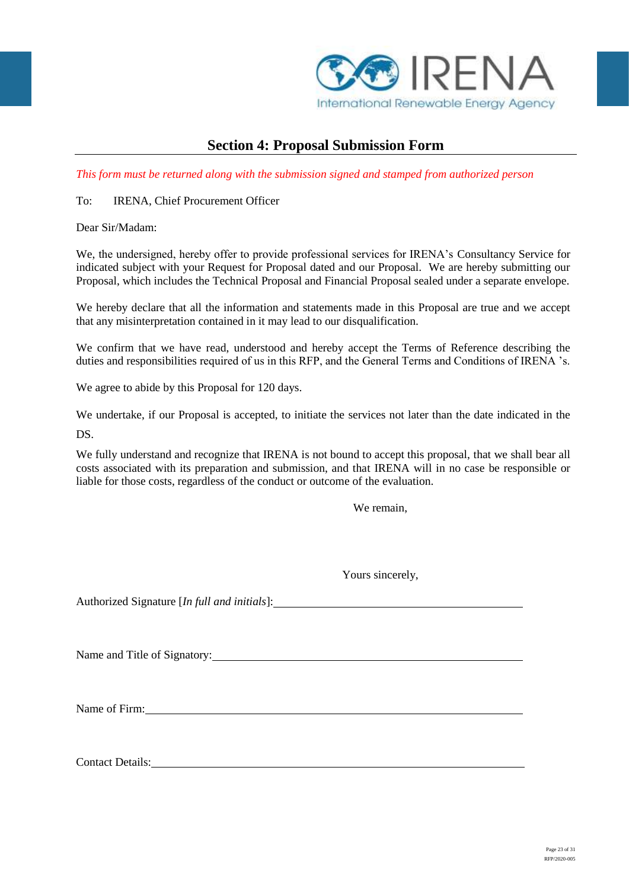

# **Section 4: Proposal Submission Form**

*This form must be returned along with the submission signed and stamped from authorized person*

## To: IRENA, Chief Procurement Officer

Dear Sir/Madam:

We, the undersigned, hereby offer to provide professional services for IRENA's Consultancy Service for indicated subject with your Request for Proposal dated and our Proposal. We are hereby submitting our Proposal, which includes the Technical Proposal and Financial Proposal sealed under a separate envelope.

We hereby declare that all the information and statements made in this Proposal are true and we accept that any misinterpretation contained in it may lead to our disqualification.

We confirm that we have read, understood and hereby accept the Terms of Reference describing the duties and responsibilities required of us in this RFP, and the General Terms and Conditions of IRENA 's.

We agree to abide by this Proposal for 120 days.

We undertake, if our Proposal is accepted, to initiate the services not later than the date indicated in the DS.

We fully understand and recognize that IRENA is not bound to accept this proposal, that we shall bear all costs associated with its preparation and submission, and that IRENA will in no case be responsible or liable for those costs, regardless of the conduct or outcome of the evaluation.

We remain,

Yours sincerely,

Authorized Signature [*In full and initials*]:

Name and Title of Signatory:

Name of Firm:  $\frac{1}{2}$  and  $\frac{1}{2}$  and  $\frac{1}{2}$  and  $\frac{1}{2}$  and  $\frac{1}{2}$  and  $\frac{1}{2}$  and  $\frac{1}{2}$  and  $\frac{1}{2}$  and  $\frac{1}{2}$  and  $\frac{1}{2}$  and  $\frac{1}{2}$  and  $\frac{1}{2}$  and  $\frac{1}{2}$  and  $\frac{1}{2}$  and  $\frac{1}{2}$  an

Contact Details: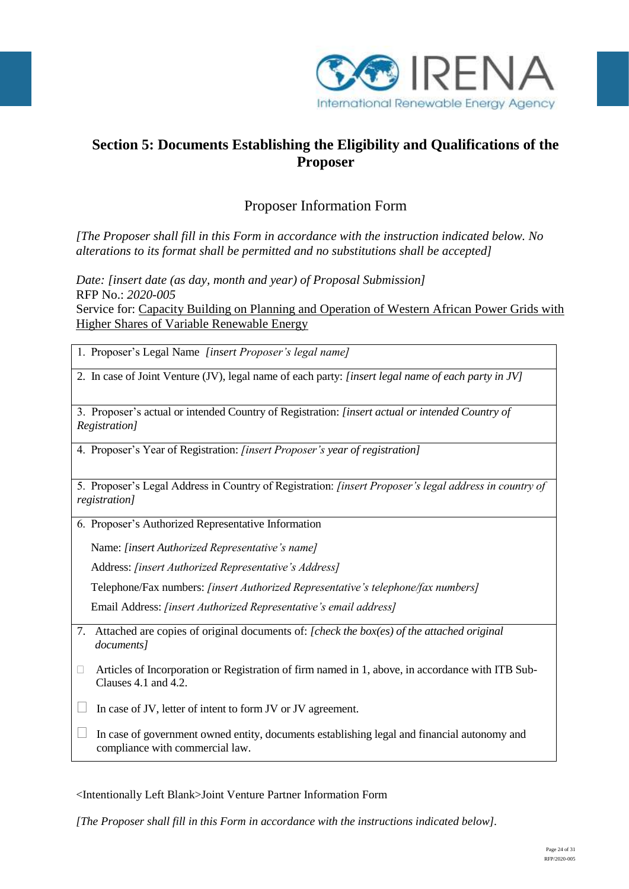

# **Section 5: Documents Establishing the Eligibility and Qualifications of the Proposer**

# Proposer Information Form

*[The Proposer shall fill in this Form in accordance with the instruction indicated below. No alterations to its format shall be permitted and no substitutions shall be accepted]*

*Date: [insert date (as day, month and year) of Proposal Submission]* RFP No.: *2020-005* Service for: Capacity Building on Planning and Operation of Western African Power Grids with Higher Shares of Variable Renewable Energy

1. Proposer's Legal Name *[insert Proposer's legal name]*

2. In case of Joint Venture (JV), legal name of each party: *[insert legal name of each party in JV]*

3. Proposer's actual or intended Country of Registration: *[insert actual or intended Country of Registration]*

4. Proposer's Year of Registration: *[insert Proposer's year of registration]*

5. Proposer's Legal Address in Country of Registration: *[insert Proposer's legal address in country of registration]*

6. Proposer's Authorized Representative Information

Name: *[insert Authorized Representative's name]*

Address: *[insert Authorized Representative's Address]*

Telephone/Fax numbers: *[insert Authorized Representative's telephone/fax numbers]*

Email Address: *[insert Authorized Representative's email address]*

- 7. Attached are copies of original documents of: *[check the box(es) of the attached original documents]*
- $\Box$  Articles of Incorporation or Registration of firm named in 1, above, in accordance with ITB Sub-Clauses 4.1 and 4.2.

 $\Box$  In case of JV, letter of intent to form JV or JV agreement.

 $\Box$  In case of government owned entity, documents establishing legal and financial autonomy and compliance with commercial law.

<Intentionally Left Blank>Joint Venture Partner Information Form

*[The Proposer shall fill in this Form in accordance with the instructions indicated below].*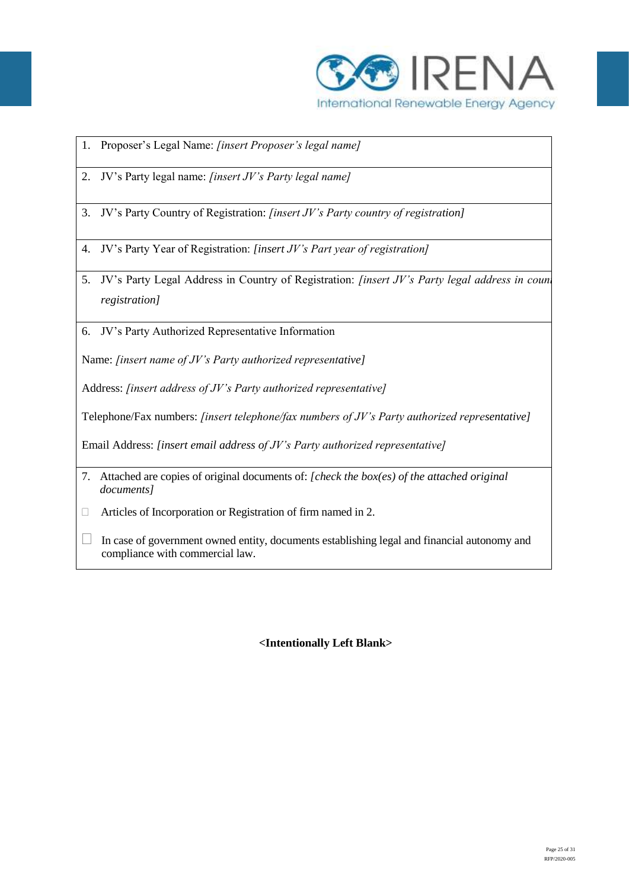

- 1. Proposer's Legal Name: *[insert Proposer's legal name]*
- 2. JV's Party legal name: *[insert JV's Party legal name]*
- 3. JV's Party Country of Registration: *[insert JV's Party country of registration]*
- 4. JV's Party Year of Registration: *[insert JV's Part year of registration]*
- 5. JV's Party Legal Address in Country of Registration: *[insert JV's Party legal address in count registration]*
- 6. JV's Party Authorized Representative Information

Name: *[insert name of JV's Party authorized representative]*

Address: *[insert address of JV's Party authorized representative]*

Telephone/Fax numbers: *[insert telephone/fax numbers of JV's Party authorized representative]*

Email Address: *[insert email address of JV's Party authorized representative]*

- 7. Attached are copies of original documents of: *[check the box(es) of the attached original documents]*
- □ Articles of Incorporation or Registration of firm named in 2.
- $\Box$  In case of government owned entity, documents establishing legal and financial autonomy and compliance with commercial law.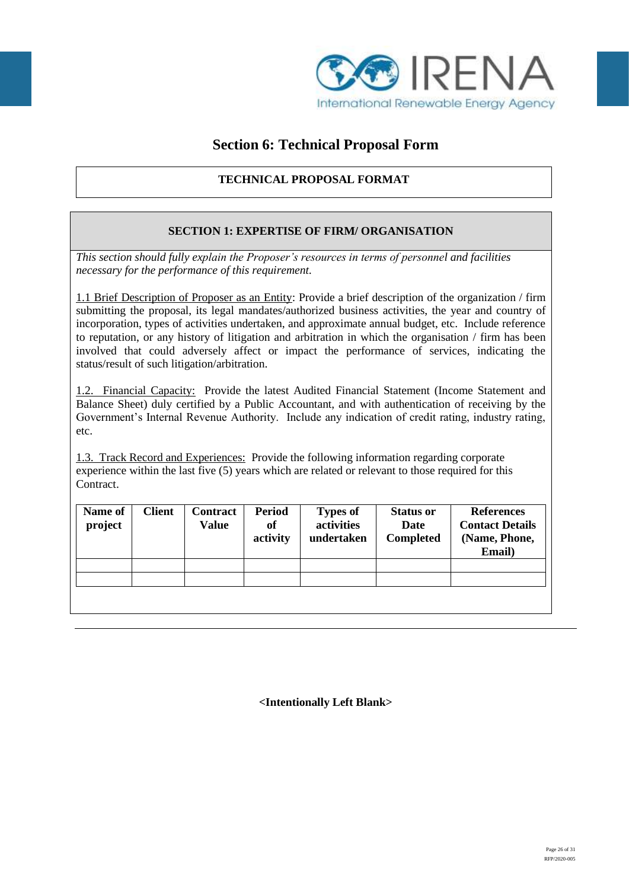

# **Section 6: Technical Proposal Form**

# **TECHNICAL PROPOSAL FORMAT**

# **SECTION 1: EXPERTISE OF FIRM/ ORGANISATION**

*This section should fully explain the Proposer's resources in terms of personnel and facilities necessary for the performance of this requirement.* 

1.1 Brief Description of Proposer as an Entity: Provide a brief description of the organization / firm submitting the proposal, its legal mandates/authorized business activities, the year and country of incorporation, types of activities undertaken, and approximate annual budget, etc. Include reference to reputation, or any history of litigation and arbitration in which the organisation / firm has been involved that could adversely affect or impact the performance of services, indicating the status/result of such litigation/arbitration.

1.2. Financial Capacity:Provide the latest Audited Financial Statement (Income Statement and Balance Sheet) duly certified by a Public Accountant, and with authentication of receiving by the Government's Internal Revenue Authority. Include any indication of credit rating, industry rating, etc.

1.3. Track Record and Experiences: Provide the following information regarding corporate experience within the last five (5) years which are related or relevant to those required for this Contract.

| Name of<br>project | <b>Client</b> | Contract<br><b>Value</b> | <b>Period</b><br>of<br>activity | <b>Types of</b><br>activities<br>undertaken | <b>Status or</b><br>Date<br><b>Completed</b> | <b>References</b><br><b>Contact Details</b><br>(Name, Phone,<br>Email) |
|--------------------|---------------|--------------------------|---------------------------------|---------------------------------------------|----------------------------------------------|------------------------------------------------------------------------|
|                    |               |                          |                                 |                                             |                                              |                                                                        |
|                    |               |                          |                                 |                                             |                                              |                                                                        |
|                    |               |                          |                                 |                                             |                                              |                                                                        |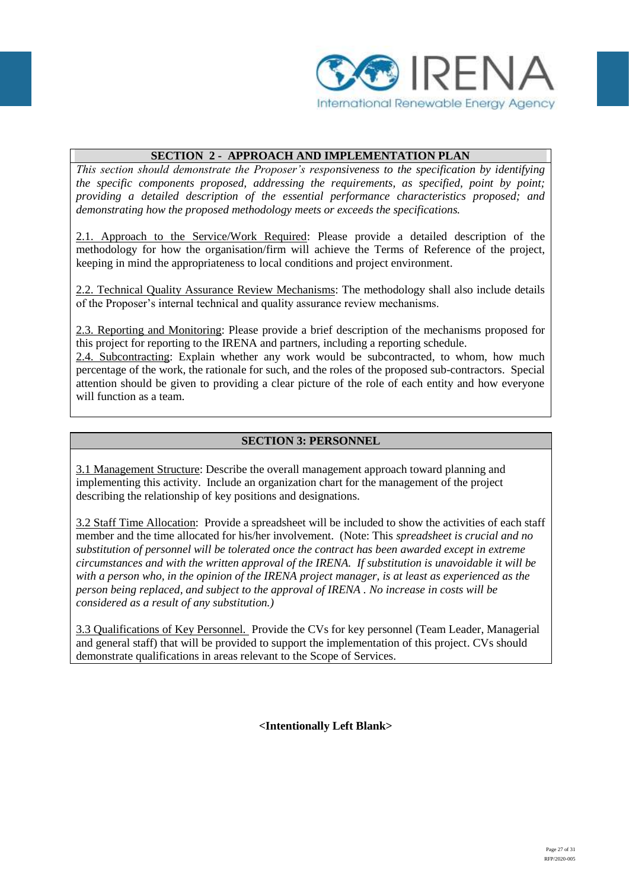

## **SECTION 2 - APPROACH AND IMPLEMENTATION PLAN**

*This section should demonstrate the Proposer's responsiveness to the specification by identifying the specific components proposed, addressing the requirements, as specified, point by point; providing a detailed description of the essential performance characteristics proposed; and demonstrating how the proposed methodology meets or exceeds the specifications.*

2.1. Approach to the Service/Work Required: Please provide a detailed description of the methodology for how the organisation/firm will achieve the Terms of Reference of the project, keeping in mind the appropriateness to local conditions and project environment.

2.2. Technical Quality Assurance Review Mechanisms: The methodology shall also include details of the Proposer's internal technical and quality assurance review mechanisms.

2.3. Reporting and Monitoring: Please provide a brief description of the mechanisms proposed for this project for reporting to the IRENA and partners, including a reporting schedule.

2.4. Subcontracting: Explain whether any work would be subcontracted, to whom, how much percentage of the work, the rationale for such, and the roles of the proposed sub-contractors. Special attention should be given to providing a clear picture of the role of each entity and how everyone will function as a team.

## **SECTION 3: PERSONNEL**

3.1 Management Structure: Describe the overall management approach toward planning and implementing this activity. Include an organization chart for the management of the project describing the relationship of key positions and designations.

3.2 Staff Time Allocation: Provide a spreadsheet will be included to show the activities of each staff member and the time allocated for his/her involvement. (Note: This *spreadsheet is crucial and no substitution of personnel will be tolerated once the contract has been awarded except in extreme circumstances and with the written approval of the IRENA. If substitution is unavoidable it will be with a person who, in the opinion of the IRENA project manager, is at least as experienced as the person being replaced, and subject to the approval of IRENA . No increase in costs will be considered as a result of any substitution.)*

3.3 Qualifications of Key Personnel. Provide the CVs for key personnel (Team Leader, Managerial and general staff) that will be provided to support the implementation of this project. CVs should demonstrate qualifications in areas relevant to the Scope of Services.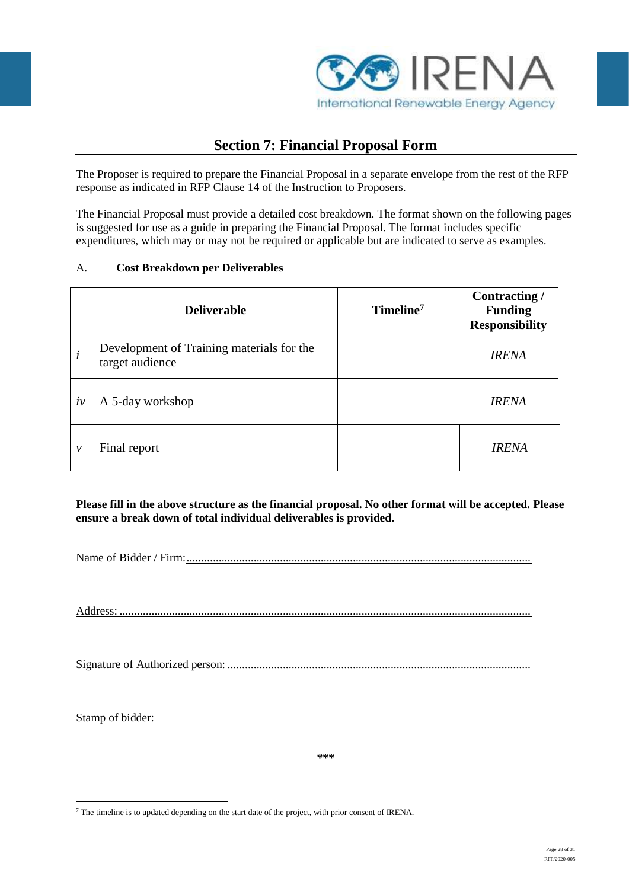

# **Section 7: Financial Proposal Form**

The Proposer is required to prepare the Financial Proposal in a separate envelope from the rest of the RFP response as indicated in RFP Clause 14 of the Instruction to Proposers.

The Financial Proposal must provide a detailed cost breakdown. The format shown on the following pages is suggested for use as a guide in preparing the Financial Proposal. The format includes specific expenditures, which may or may not be required or applicable but are indicated to serve as examples.

## A. **Cost Breakdown per Deliverables**

|    | <b>Deliverable</b>                                           | Timeline <sup>7</sup> | Contracting /<br><b>Funding</b><br><b>Responsibility</b> |
|----|--------------------------------------------------------------|-----------------------|----------------------------------------------------------|
| i  | Development of Training materials for the<br>target audience |                       | <b>IRENA</b>                                             |
| iv | A 5-day workshop                                             |                       | <b>IRENA</b>                                             |
| ν  | Final report                                                 |                       | <i><b>IRENA</b></i>                                      |

## **Please fill in the above structure as the financial proposal. No other format will be accepted. Please ensure a break down of total individual deliverables is provided.**

Name of Bidder / Firm:......................................................................................................................

Address: .............................................................................................................................................

Signature of Authorized person: ........................................................................................................

Stamp of bidder:

**\*\*\***

<sup>1</sup> <sup>7</sup> The timeline is to updated depending on the start date of the project, with prior consent of IRENA.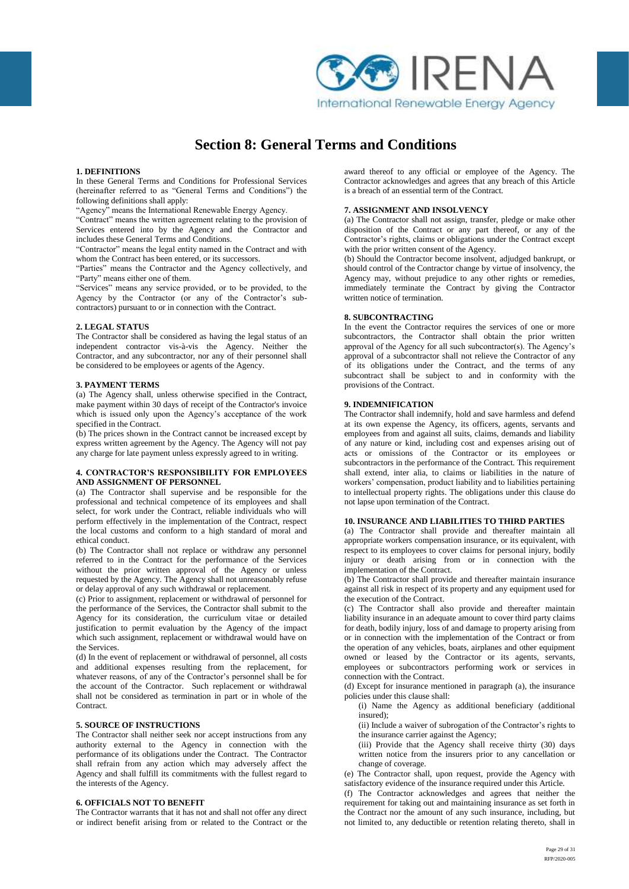

# **Section 8: General Terms and Conditions**

#### **1. DEFINITIONS**

In these General Terms and Conditions for Professional Services (hereinafter referred to as "General Terms and Conditions") the following definitions shall apply:

"Agency" means the International Renewable Energy Agency.

"Contract" means the written agreement relating to the provision of Services entered into by the Agency and the Contractor and includes these General Terms and Conditions.

"Contractor" means the legal entity named in the Contract and with whom the Contract has been entered, or its successors.

"Parties" means the Contractor and the Agency collectively, and "Party" means either one of them.

"Services" means any service provided, or to be provided, to the Agency by the Contractor (or any of the Contractor's subcontractors) pursuant to or in connection with the Contract.

#### **2. LEGAL STATUS**

The Contractor shall be considered as having the legal status of an independent contractor vis-à-vis the Agency. Neither the Contractor, and any subcontractor, nor any of their personnel shall be considered to be employees or agents of the Agency.

#### **3. PAYMENT TERMS**

(a) The Agency shall, unless otherwise specified in the Contract, make payment within 30 days of receipt of the Contractor's invoice which is issued only upon the Agency's acceptance of the work specified in the Contract.

(b) The prices shown in the Contract cannot be increased except by express written agreement by the Agency. The Agency will not pay any charge for late payment unless expressly agreed to in writing.

#### **4. CONTRACTOR'S RESPONSIBILITY FOR EMPLOYEES AND ASSIGNMENT OF PERSONNEL**

(a) The Contractor shall supervise and be responsible for the professional and technical competence of its employees and shall select, for work under the Contract, reliable individuals who will perform effectively in the implementation of the Contract, respect the local customs and conform to a high standard of moral and ethical conduct.

(b) The Contractor shall not replace or withdraw any personnel referred to in the Contract for the performance of the Services without the prior written approval of the Agency or unless requested by the Agency. The Agency shall not unreasonably refuse or delay approval of any such withdrawal or replacement.

(c) Prior to assignment, replacement or withdrawal of personnel for the performance of the Services, the Contractor shall submit to the Agency for its consideration, the curriculum vitae or detailed justification to permit evaluation by the Agency of the impact which such assignment, replacement or withdrawal would have on the Services.

(d) In the event of replacement or withdrawal of personnel, all costs and additional expenses resulting from the replacement, for whatever reasons, of any of the Contractor's personnel shall be for the account of the Contractor. Such replacement or withdrawal shall not be considered as termination in part or in whole of the **Contract.** 

#### **5. SOURCE OF INSTRUCTIONS**

The Contractor shall neither seek nor accept instructions from any authority external to the Agency in connection with the performance of its obligations under the Contract. The Contractor shall refrain from any action which may adversely affect the Agency and shall fulfill its commitments with the fullest regard to the interests of the Agency.

#### **6. OFFICIALS NOT TO BENEFIT**

The Contractor warrants that it has not and shall not offer any direct or indirect benefit arising from or related to the Contract or the award thereof to any official or employee of the Agency. The Contractor acknowledges and agrees that any breach of this Article is a breach of an essential term of the Contract.

#### **7. ASSIGNMENT AND INSOLVENCY**

(a) The Contractor shall not assign, transfer, pledge or make other disposition of the Contract or any part thereof, or any of the Contractor's rights, claims or obligations under the Contract except with the prior written consent of the Agency.

(b) Should the Contractor become insolvent, adjudged bankrupt, or should control of the Contractor change by virtue of insolvency, the Agency may, without prejudice to any other rights or remedies, immediately terminate the Contract by giving the Contractor written notice of termination.

#### **8. SUBCONTRACTING**

In the event the Contractor requires the services of one or more subcontractors, the Contractor shall obtain the prior written approval of the Agency for all such subcontractor(s). The Agency's approval of a subcontractor shall not relieve the Contractor of any of its obligations under the Contract, and the terms of any subcontract shall be subject to and in conformity with the provisions of the Contract.

#### **9. INDEMNIFICATION**

The Contractor shall indemnify, hold and save harmless and defend at its own expense the Agency, its officers, agents, servants and employees from and against all suits, claims, demands and liability of any nature or kind, including cost and expenses arising out of acts or omissions of the Contractor or its employees or subcontractors in the performance of the Contract. This requirement shall extend, inter alia, to claims or liabilities in the nature of workers' compensation, product liability and to liabilities pertaining to intellectual property rights. The obligations under this clause do not lapse upon termination of the Contract.

#### **10. INSURANCE AND LIABILITIES TO THIRD PARTIES**

(a) The Contractor shall provide and thereafter maintain all appropriate workers compensation insurance, or its equivalent, with respect to its employees to cover claims for personal injury, bodily injury or death arising from or in connection with the implementation of the Contract.

(b) The Contractor shall provide and thereafter maintain insurance against all risk in respect of its property and any equipment used for the execution of the Contract.

(c) The Contractor shall also provide and thereafter maintain liability insurance in an adequate amount to cover third party claims for death, bodily injury, loss of and damage to property arising from or in connection with the implementation of the Contract or from the operation of any vehicles, boats, airplanes and other equipment owned or leased by the Contractor or its agents, servants, employees or subcontractors performing work or services in connection with the Contract.

(d) Except for insurance mentioned in paragraph (a), the insurance policies under this clause shall:

(i) Name the Agency as additional beneficiary (additional insured);

(ii) Include a waiver of subrogation of the Contractor's rights to the insurance carrier against the Agency;

(iii) Provide that the Agency shall receive thirty (30) days written notice from the insurers prior to any cancellation or change of coverage.

(e) The Contractor shall, upon request, provide the Agency with satisfactory evidence of the insurance required under this Article.

(f) The Contractor acknowledges and agrees that neither the requirement for taking out and maintaining insurance as set forth in the Contract nor the amount of any such insurance, including, but not limited to, any deductible or retention relating thereto, shall in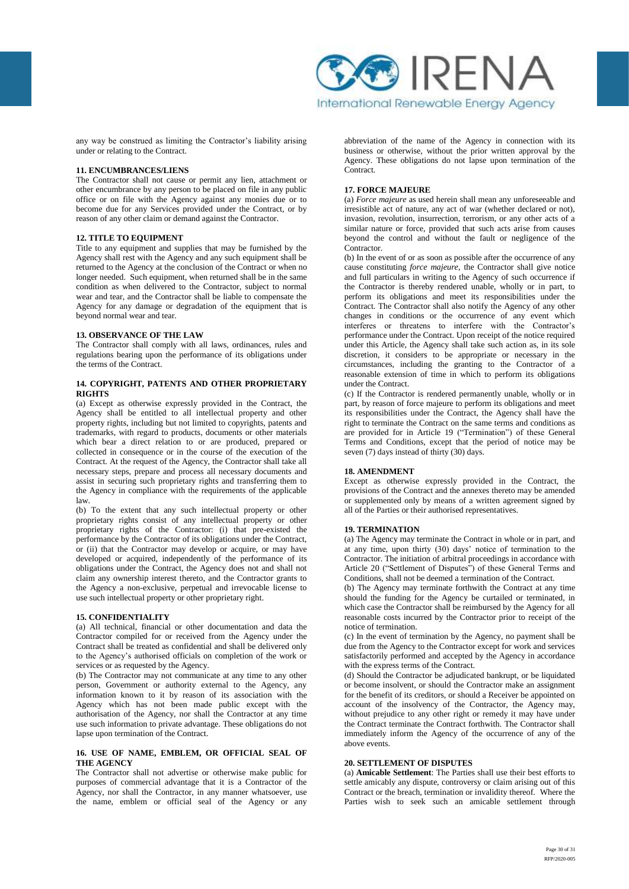

any way be construed as limiting the Contractor's liability arising under or relating to the Contract.

#### **11. ENCUMBRANCES/LIENS**

The Contractor shall not cause or permit any lien, attachment or other encumbrance by any person to be placed on file in any public office or on file with the Agency against any monies due or to become due for any Services provided under the Contract, or by reason of any other claim or demand against the Contractor.

#### **12. TITLE TO EQUIPMENT**

Title to any equipment and supplies that may be furnished by the Agency shall rest with the Agency and any such equipment shall be returned to the Agency at the conclusion of the Contract or when no longer needed. Such equipment, when returned shall be in the same condition as when delivered to the Contractor, subject to normal wear and tear, and the Contractor shall be liable to compensate the Agency for any damage or degradation of the equipment that is beyond normal wear and tear.

#### **13. OBSERVANCE OF THE LAW**

The Contractor shall comply with all laws, ordinances, rules and regulations bearing upon the performance of its obligations under the terms of the Contract.

#### **14. COPYRIGHT, PATENTS AND OTHER PROPRIETARY RIGHTS**

(a) Except as otherwise expressly provided in the Contract, the Agency shall be entitled to all intellectual property and other property rights, including but not limited to copyrights, patents and trademarks, with regard to products, documents or other materials which bear a direct relation to or are produced, prepared or collected in consequence or in the course of the execution of the Contract. At the request of the Agency, the Contractor shall take all necessary steps, prepare and process all necessary documents and assist in securing such proprietary rights and transferring them to the Agency in compliance with the requirements of the applicable law.

(b) To the extent that any such intellectual property or other proprietary rights consist of any intellectual property or other proprietary rights of the Contractor: (i) that pre-existed the performance by the Contractor of its obligations under the Contract, or (ii) that the Contractor may develop or acquire, or may have developed or acquired, independently of the performance of its obligations under the Contract, the Agency does not and shall not claim any ownership interest thereto, and the Contractor grants to the Agency a non-exclusive, perpetual and irrevocable license to use such intellectual property or other proprietary right.

#### **15. CONFIDENTIALITY**

(a) All technical, financial or other documentation and data the Contractor compiled for or received from the Agency under the Contract shall be treated as confidential and shall be delivered only to the Agency's authorised officials on completion of the work or services or as requested by the Agency.

(b) The Contractor may not communicate at any time to any other person, Government or authority external to the Agency, any information known to it by reason of its association with the Agency which has not been made public except with the authorisation of the Agency, nor shall the Contractor at any time use such information to private advantage. These obligations do not lapse upon termination of the Contract.

#### **16. USE OF NAME, EMBLEM, OR OFFICIAL SEAL OF THE AGENCY**

The Contractor shall not advertise or otherwise make public for purposes of commercial advantage that it is a Contractor of the Agency, nor shall the Contractor, in any manner whatsoever, use the name, emblem or official seal of the Agency or any

abbreviation of the name of the Agency in connection with its business or otherwise, without the prior written approval by the Agency. These obligations do not lapse upon termination of the Contract.

#### **17. FORCE MAJEURE**

(a) *Force majeure* as used herein shall mean any unforeseeable and irresistible act of nature, any act of war (whether declared or not), invasion, revolution, insurrection, terrorism, or any other acts of a similar nature or force, provided that such acts arise from causes beyond the control and without the fault or negligence of the Contractor.

(b) In the event of or as soon as possible after the occurrence of any cause constituting *force majeure*, the Contractor shall give notice and full particulars in writing to the Agency of such occurrence if the Contractor is thereby rendered unable, wholly or in part, to perform its obligations and meet its responsibilities under the Contract. The Contractor shall also notify the Agency of any other changes in conditions or the occurrence of any event which interferes or threatens to interfere with the Contractor's performance under the Contract. Upon receipt of the notice required under this Article, the Agency shall take such action as, in its sole discretion, it considers to be appropriate or necessary in the circumstances, including the granting to the Contractor of a reasonable extension of time in which to perform its obligations under the Contract.

(c) If the Contractor is rendered permanently unable, wholly or in part, by reason of force majeure to perform its obligations and meet its responsibilities under the Contract, the Agency shall have the right to terminate the Contract on the same terms and conditions as are provided for in Article 19 ("Termination") of these General Terms and Conditions, except that the period of notice may be seven (7) days instead of thirty (30) days.

#### **18. AMENDMENT**

Except as otherwise expressly provided in the Contract, the provisions of the Contract and the annexes thereto may be amended or supplemented only by means of a written agreement signed by all of the Parties or their authorised representatives.

#### **19. TERMINATION**

(a) The Agency may terminate the Contract in whole or in part, and at any time, upon thirty (30) days' notice of termination to the Contractor. The initiation of arbitral proceedings in accordance with Article 20 ("Settlement of Disputes") of these General Terms and Conditions, shall not be deemed a termination of the Contract.

(b) The Agency may terminate forthwith the Contract at any time should the funding for the Agency be curtailed or terminated, in which case the Contractor shall be reimbursed by the Agency for all reasonable costs incurred by the Contractor prior to receipt of the notice of termination.

(c) In the event of termination by the Agency, no payment shall be due from the Agency to the Contractor except for work and services satisfactorily performed and accepted by the Agency in accordance with the express terms of the Contract.

(d) Should the Contractor be adjudicated bankrupt, or be liquidated or become insolvent, or should the Contractor make an assignment for the benefit of its creditors, or should a Receiver be appointed on account of the insolvency of the Contractor, the Agency may, without prejudice to any other right or remedy it may have under the Contract terminate the Contract forthwith. The Contractor shall immediately inform the Agency of the occurrence of any of the above events.

#### **20. SETTLEMENT OF DISPUTES**

(a) **Amicable Settlement**: The Parties shall use their best efforts to settle amicably any dispute, controversy or claim arising out of this Contract or the breach, termination or invalidity thereof. Where the Parties wish to seek such an amicable settlement through